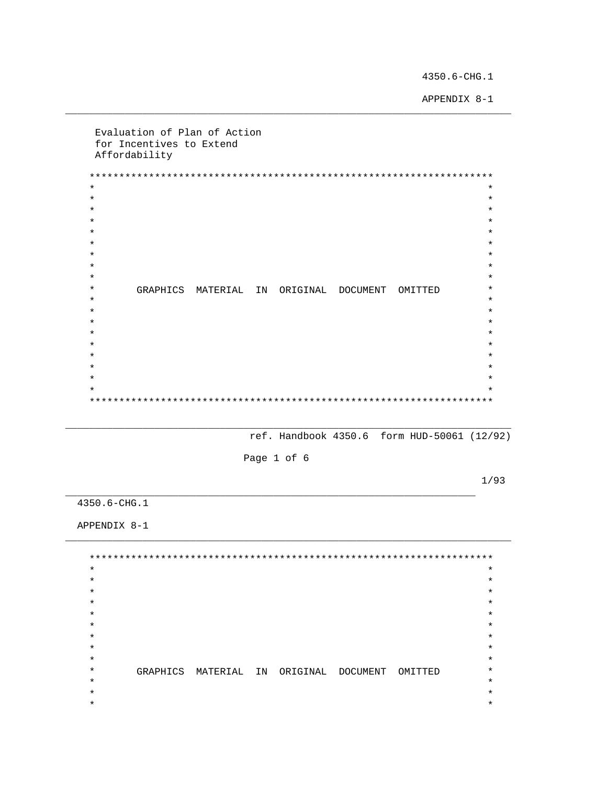4350.6-CHG.1

APPENDIX 8-1

Evaluation of Plan of Action for Incentives to Extend Affordability  $\star$  $\star$  $\star$  $\star$  $\star$  $\star$  $\star$  $\star$  $\star$  $\star$  $\star$  $\star$  $\star$  $\star$ GRAPHICS MATERIAL IN ORIGINAL DOCUMENT OMITTED  $\star$  $\star$  $\ddot{\textbf{r}}$  $\star$  $\star$  $\star$  $\star$  $\star$  $\star$  $\star$  $\star$  $\star$  $\star$ 

ref. Handbook 4350.6 form HUD-50061 (12/92)

Page 1 of 6

 $1/93$ 

 $4350.6 - CHG.1$ 

APPENDIX 8-1

 $\star$  $\star$  $\star$  $\star$  $\star$  $\star$  $\star$  $\star$  $\star$  $\star$  $\star$  $\star$  $\star$  $\star$  $\star$  $\star$  $\star$  $\star$ GRAPHICS MATERIAL IN ORIGINAL DOCUMENT OMITTED  $\star$  $\star$  $\star$  $\star$  $\star$  $\star$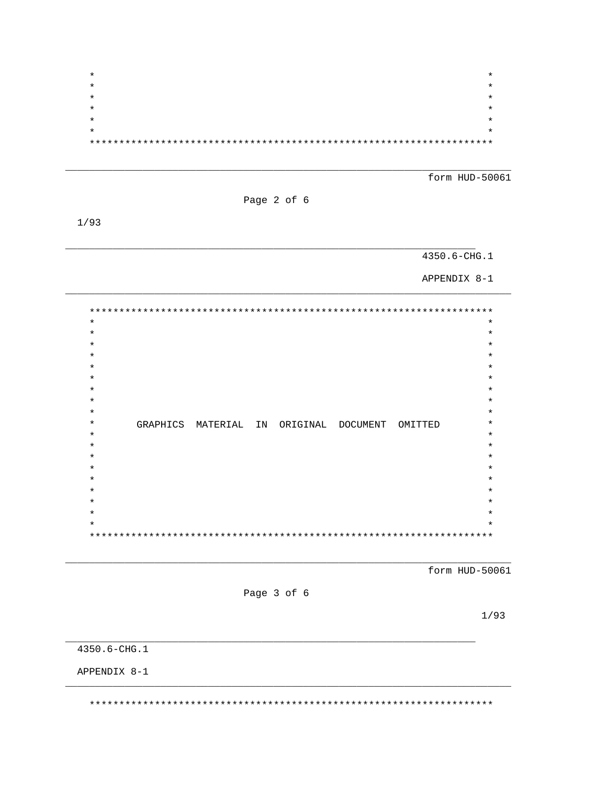| * | * |
|---|---|
| * | * |
| * | * |
| * | * |
| * | * |
| * | * |
|   |   |

form HUD-50061

Page 2 of 6

 $1/93$ 

# 4350.6-CHG.1

APPENDIX 8-1

 $\ast$  $\star$  $\star$  $\star$  $\star$  $\star$  $\star$  $\star$  $\star$  $\star$  $\star$  $\star$  $\star$  $\star$ GRAPHICS MATERIAL IN ORIGINAL DOCUMENT OMITTED  $\star$  $\star$  $\star$  $\star$  $\star$  $\star$  $\star$  $\star$  $\star$  $\star$  $\star$  $\star$  $\star$  $^\star$  $* *$ 

form HUD-50061

Page 3 of 6

 $1/93$ 

4350.6-CHG.1

APPENDIX 8-1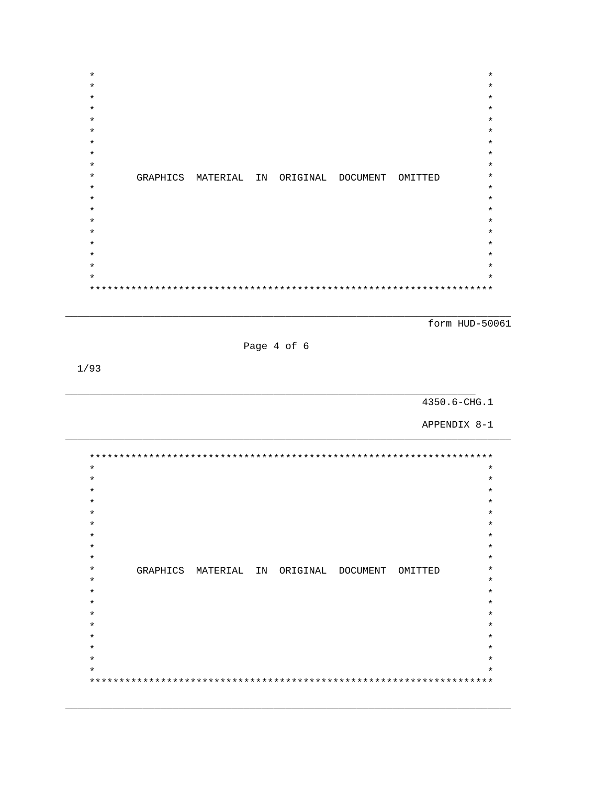| $\star$ |                      |  |                   |         | $\star$ |
|---------|----------------------|--|-------------------|---------|---------|
| $\star$ |                      |  |                   |         | $\star$ |
| $\star$ |                      |  |                   |         | $\star$ |
| $\star$ |                      |  |                   |         | $\star$ |
| $\star$ |                      |  |                   |         | $\star$ |
| $\star$ |                      |  |                   |         | $\star$ |
| $\star$ |                      |  |                   |         | $\star$ |
| $\star$ |                      |  |                   |         | $\star$ |
| $\star$ |                      |  |                   |         | $\star$ |
| $\star$ | GRAPHICS MATERIAL IN |  | ORIGINAL DOCUMENT | OMITTED | $\star$ |
| $\star$ |                      |  |                   |         | $\star$ |
| $\star$ |                      |  |                   |         | $\star$ |
| $\star$ |                      |  |                   |         | $\star$ |
| $\star$ |                      |  |                   |         | $\star$ |
| $\star$ |                      |  |                   |         | $\star$ |
| $\star$ |                      |  |                   |         | $\star$ |
| $\star$ |                      |  |                   |         | $\star$ |
| $\star$ |                      |  |                   |         | $\star$ |
| $\star$ |                      |  |                   |         | $\star$ |
|         |                      |  |                   |         |         |
|         |                      |  |                   |         |         |

form HUD-50061

Page 4 of 6

 $1/93$ 

4350.6-CHG.1

APPENDIX 8-1

 $\star$  $\star$  $\star$  $\star$  $\star$  $\star$  $\star$  $\star$  $\star$  $\star$  $\star$  $\star$  $\star$  $\star$  $\star$  $\star$ GRAPHICS MATERIAL IN ORIGINAL DOCUMENT OMITTED  $\star$  $\star$  $\star$  $\star$  $\star$  $\star$  $\star$  $\star$  $\star$  $\star$  $\star$  $\star$  $\star$  $\star$  $\star$  $\star$  $\star$  $\star$  $\star$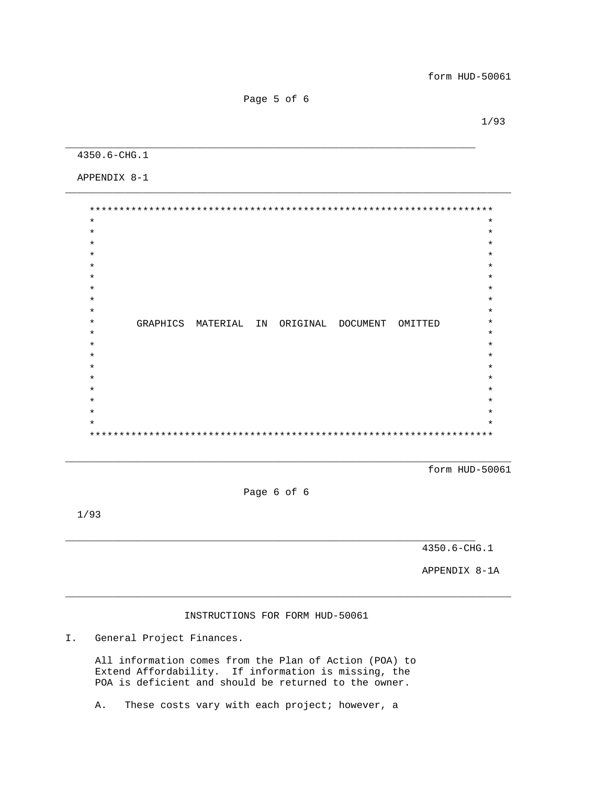Page 5 of 6

\_\_\_\_\_\_\_\_\_\_\_\_\_\_\_\_\_\_\_\_\_\_\_\_\_\_\_\_\_\_\_\_\_\_\_\_\_\_\_\_\_\_\_\_\_\_\_\_\_\_\_\_\_\_\_\_\_\_\_\_\_\_\_\_\_\_\_\_\_

\_\_\_\_\_\_\_\_\_\_\_\_\_\_\_\_\_\_\_\_\_\_\_\_\_\_\_\_\_\_\_\_\_\_\_\_\_\_\_\_\_\_\_\_\_\_\_\_\_\_\_\_\_\_\_\_\_\_\_\_\_\_\_\_\_\_\_\_\_\_\_\_\_\_\_

 $1/93$ 

4350.6-CHG.1

APPENDIX 8-1

 \*\*\*\*\*\*\*\*\*\*\*\*\*\*\*\*\*\*\*\*\*\*\*\*\*\*\*\*\*\*\*\*\*\*\*\*\*\*\*\*\*\*\*\*\*\*\*\*\*\*\*\*\*\*\*\*\*\*\*\*\*\*\*\*\*\*\*\*  $\star$  \*  $\star$   $\star$  $\star$  \*  $\star$  \*  $\star$  \*  $\star$  \*  $\star$   $\star$  $\star$  \*  $\star$  \* \* GRAPHICS MATERIAL IN ORIGINAL DOCUMENT OMITTED \*  $\star$  \*  $\star$  \*  $\star$  \*  $\star$  \*  $\star$  \*  $\star$  \*  $\star$  \*  $\star$  \*  $\star$  \* \*\*\*\*\*\*\*\*\*\*\*\*\*\*\*\*\*\*\*\*\*\*\*\*\*\*\*\*\*\*\*\*\*\*\*\*\*\*\*\*\*\*\*\*\*\*\*\*\*\*\*\*\*\*\*\*\*\*\*\*\*\*\*\*\*\*\*\*

form HUD-50061

Page 6 of 6

\_\_\_\_\_\_\_\_\_\_\_\_\_\_\_\_\_\_\_\_\_\_\_\_\_\_\_\_\_\_\_\_\_\_\_\_\_\_\_\_\_\_\_\_\_\_\_\_\_\_\_\_\_\_\_\_\_\_\_\_\_\_\_\_\_\_\_\_\_

\_\_\_\_\_\_\_\_\_\_\_\_\_\_\_\_\_\_\_\_\_\_\_\_\_\_\_\_\_\_\_\_\_\_\_\_\_\_\_\_\_\_\_\_\_\_\_\_\_\_\_\_\_\_\_\_\_\_\_\_\_\_\_\_\_\_\_\_\_\_\_\_\_\_\_

1/93

4350.6-CHG.1

APPENDIX 8-1A

# INSTRUCTIONS FOR FORM HUD-50061

\_\_\_\_\_\_\_\_\_\_\_\_\_\_\_\_\_\_\_\_\_\_\_\_\_\_\_\_\_\_\_\_\_\_\_\_\_\_\_\_\_\_\_\_\_\_\_\_\_\_\_\_\_\_\_\_\_\_\_\_\_\_\_\_\_\_\_\_\_\_\_\_\_\_\_

I. General Project Finances.

 All information comes from the Plan of Action (POA) to Extend Affordability. If information is missing, the POA is deficient and should be returned to the owner.

A. These costs vary with each project; however, a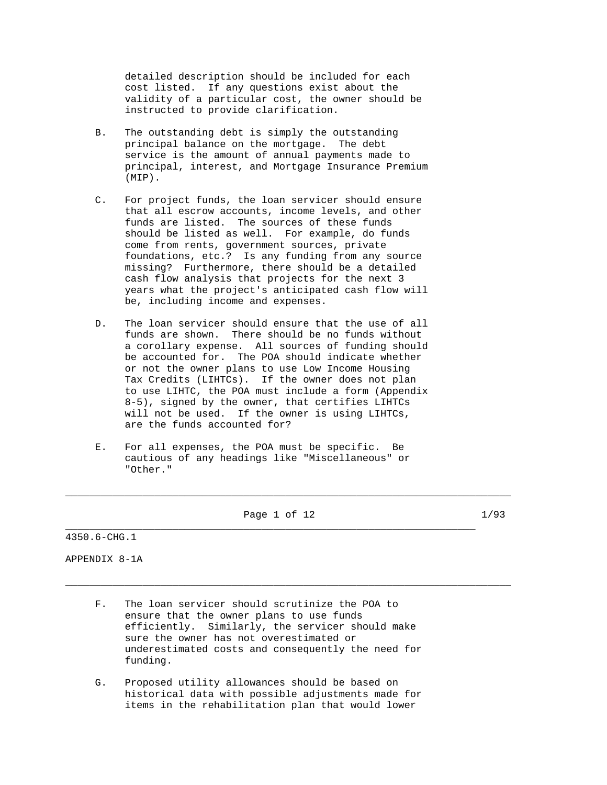detailed description should be included for each cost listed. If any questions exist about the validity of a particular cost, the owner should be instructed to provide clarification.

- B. The outstanding debt is simply the outstanding principal balance on the mortgage. The debt service is the amount of annual payments made to principal, interest, and Mortgage Insurance Premium (MIP).
- C. For project funds, the loan servicer should ensure that all escrow accounts, income levels, and other funds are listed. The sources of these funds should be listed as well. For example, do funds come from rents, government sources, private foundations, etc.? Is any funding from any source missing? Furthermore, there should be a detailed cash flow analysis that projects for the next 3 years what the project's anticipated cash flow will be, including income and expenses.
- D. The loan servicer should ensure that the use of all funds are shown. There should be no funds without a corollary expense. All sources of funding should be accounted for. The POA should indicate whether or not the owner plans to use Low Income Housing Tax Credits (LIHTCs). If the owner does not plan to use LIHTC, the POA must include a form (Appendix 8-5), signed by the owner, that certifies LIHTCs will not be used. If the owner is using LIHTCs, are the funds accounted for?
- E. For all expenses, the POA must be specific. Be cautious of any headings like "Miscellaneous" or "Other."

Page 1 of 12 1/93

\_\_\_\_\_\_\_\_\_\_\_\_\_\_\_\_\_\_\_\_\_\_\_\_\_\_\_\_\_\_\_\_\_\_\_\_\_\_\_\_\_\_\_\_\_\_\_\_\_\_\_\_\_\_\_\_\_\_\_\_\_\_\_\_\_\_\_\_\_

\_\_\_\_\_\_\_\_\_\_\_\_\_\_\_\_\_\_\_\_\_\_\_\_\_\_\_\_\_\_\_\_\_\_\_\_\_\_\_\_\_\_\_\_\_\_\_\_\_\_\_\_\_\_\_\_\_\_\_\_\_\_\_\_\_\_\_\_\_\_\_\_\_\_\_

\_\_\_\_\_\_\_\_\_\_\_\_\_\_\_\_\_\_\_\_\_\_\_\_\_\_\_\_\_\_\_\_\_\_\_\_\_\_\_\_\_\_\_\_\_\_\_\_\_\_\_\_\_\_\_\_\_\_\_\_\_\_\_\_\_\_\_\_\_\_\_\_\_\_\_

4350.6-CHG.1

APPENDIX 8-1A

- F. The loan servicer should scrutinize the POA to ensure that the owner plans to use funds efficiently. Similarly, the servicer should make sure the owner has not overestimated or underestimated costs and consequently the need for funding.
- G. Proposed utility allowances should be based on historical data with possible adjustments made for items in the rehabilitation plan that would lower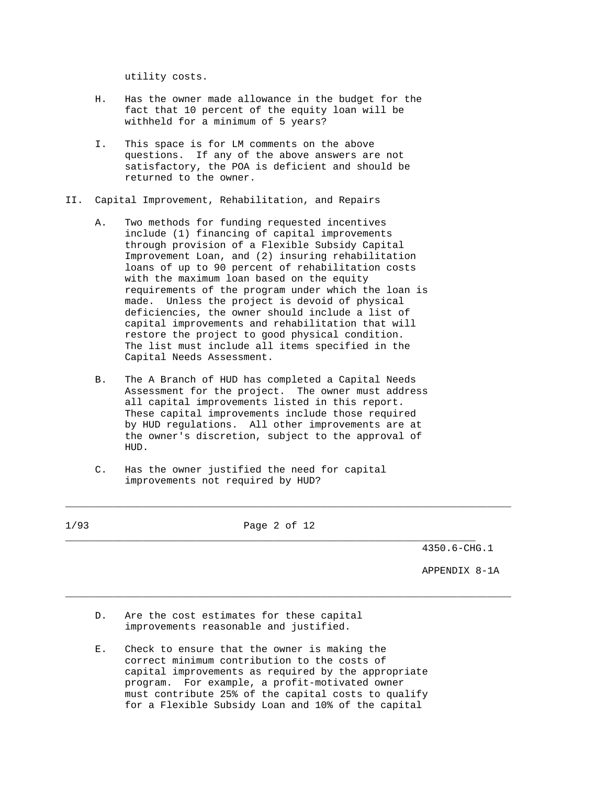utility costs.

- H. Has the owner made allowance in the budget for the fact that 10 percent of the equity loan will be withheld for a minimum of 5 years?
- I. This space is for LM comments on the above questions. If any of the above answers are not satisfactory, the POA is deficient and should be returned to the owner.
- II. Capital Improvement, Rehabilitation, and Repairs
	- A. Two methods for funding requested incentives include (1) financing of capital improvements through provision of a Flexible Subsidy Capital Improvement Loan, and (2) insuring rehabilitation loans of up to 90 percent of rehabilitation costs with the maximum loan based on the equity requirements of the program under which the loan is made. Unless the project is devoid of physical deficiencies, the owner should include a list of capital improvements and rehabilitation that will restore the project to good physical condition. The list must include all items specified in the Capital Needs Assessment.
	- B. The A Branch of HUD has completed a Capital Needs Assessment for the project. The owner must address all capital improvements listed in this report. These capital improvements include those required by HUD regulations. All other improvements are at the owner's discretion, subject to the approval of HUD.
	- C. Has the owner justified the need for capital improvements not required by HUD?

| 1/93 | Page 2 of 12                                                                       |               |
|------|------------------------------------------------------------------------------------|---------------|
|      |                                                                                    | 4350.6-CHG.1  |
|      |                                                                                    | APPENDIX 8-1A |
| D.   | Are the cost estimates for these capital<br>improvements reasonable and justified. |               |
| Е.   | Check to ensure that the owner is making the                                       |               |

 correct minimum contribution to the costs of capital improvements as required by the appropriate program. For example, a profit-motivated owner must contribute 25% of the capital costs to qualify for a Flexible Subsidy Loan and 10% of the capital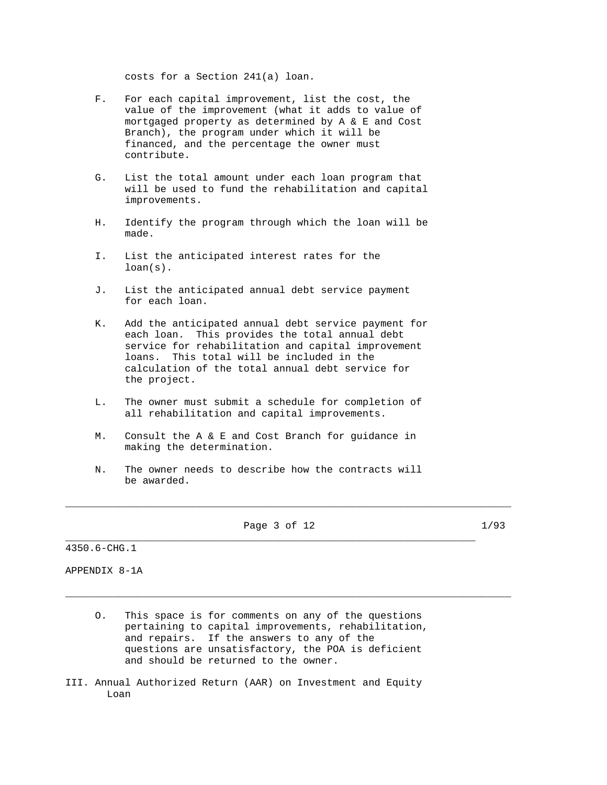costs for a Section 241(a) loan.

- F. For each capital improvement, list the cost, the value of the improvement (what it adds to value of mortgaged property as determined by A & E and Cost Branch), the program under which it will be financed, and the percentage the owner must contribute.
- G. List the total amount under each loan program that will be used to fund the rehabilitation and capital improvements.
- H. Identify the program through which the loan will be made.
- I. List the anticipated interest rates for the loan(s).
- J. List the anticipated annual debt service payment for each loan.
- K. Add the anticipated annual debt service payment for each loan. This provides the total annual debt service for rehabilitation and capital improvement loans. This total will be included in the calculation of the total annual debt service for the project.
- L. The owner must submit a schedule for completion of all rehabilitation and capital improvements.
- M. Consult the A & E and Cost Branch for guidance in making the determination.
- N. The owner needs to describe how the contracts will be awarded.

Page 3 of 12 1/93

\_\_\_\_\_\_\_\_\_\_\_\_\_\_\_\_\_\_\_\_\_\_\_\_\_\_\_\_\_\_\_\_\_\_\_\_\_\_\_\_\_\_\_\_\_\_\_\_\_\_\_\_\_\_\_\_\_\_\_\_\_\_\_\_\_\_\_\_\_

\_\_\_\_\_\_\_\_\_\_\_\_\_\_\_\_\_\_\_\_\_\_\_\_\_\_\_\_\_\_\_\_\_\_\_\_\_\_\_\_\_\_\_\_\_\_\_\_\_\_\_\_\_\_\_\_\_\_\_\_\_\_\_\_\_\_\_\_\_\_\_\_\_\_\_

\_\_\_\_\_\_\_\_\_\_\_\_\_\_\_\_\_\_\_\_\_\_\_\_\_\_\_\_\_\_\_\_\_\_\_\_\_\_\_\_\_\_\_\_\_\_\_\_\_\_\_\_\_\_\_\_\_\_\_\_\_\_\_\_\_\_\_\_\_\_\_\_\_\_\_

4350.6-CHG.1

APPENDIX 8-1A

- O. This space is for comments on any of the questions pertaining to capital improvements, rehabilitation, and repairs. If the answers to any of the questions are unsatisfactory, the POA is deficient and should be returned to the owner.
- III. Annual Authorized Return (AAR) on Investment and Equity Loan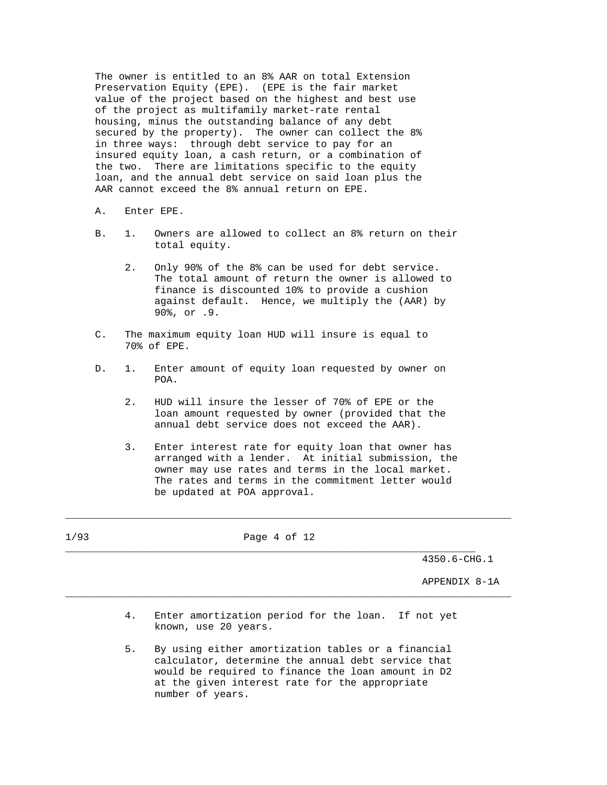The owner is entitled to an 8% AAR on total Extension Preservation Equity (EPE). (EPE is the fair market value of the project based on the highest and best use of the project as multifamily market-rate rental housing, minus the outstanding balance of any debt secured by the property). The owner can collect the 8% in three ways: through debt service to pay for an insured equity loan, a cash return, or a combination of the two. There are limitations specific to the equity loan, and the annual debt service on said loan plus the AAR cannot exceed the 8% annual return on EPE.

- A. Enter EPE.
- B. 1. Owners are allowed to collect an 8% return on their total equity.
	- 2. Only 90% of the 8% can be used for debt service. The total amount of return the owner is allowed to finance is discounted 10% to provide a cushion against default. Hence, we multiply the (AAR) by 90%, or .9.
- C. The maximum equity loan HUD will insure is equal to 70% of EPE.
- D. 1. Enter amount of equity loan requested by owner on POA.
	- 2. HUD will insure the lesser of 70% of EPE or the loan amount requested by owner (provided that the annual debt service does not exceed the AAR).
	- 3. Enter interest rate for equity loan that owner has arranged with a lender. At initial submission, the owner may use rates and terms in the local market. The rates and terms in the commitment letter would be updated at POA approval.

\_\_\_\_\_\_\_\_\_\_\_\_\_\_\_\_\_\_\_\_\_\_\_\_\_\_\_\_\_\_\_\_\_\_\_\_\_\_\_\_\_\_\_\_\_\_\_\_\_\_\_\_\_\_\_\_\_\_\_\_\_\_\_\_\_\_\_\_\_\_\_\_\_\_\_

| $\sim$<br>— 1 | $ -$<br>$ -$<br>$ -$<br>- |  |
|---------------|---------------------------|--|
|               |                           |  |

4350.6-CHG.1

APPENDIX 8-1A

 4. Enter amortization period for the loan. If not yet known, use 20 years.

\_\_\_\_\_\_\_\_\_\_\_\_\_\_\_\_\_\_\_\_\_\_\_\_\_\_\_\_\_\_\_\_\_\_\_\_\_\_\_\_\_\_\_\_\_\_\_\_\_\_\_\_\_\_\_\_\_\_\_\_\_\_\_\_\_\_\_\_\_\_\_\_\_\_\_

 5. By using either amortization tables or a financial calculator, determine the annual debt service that would be required to finance the loan amount in D2 at the given interest rate for the appropriate number of years.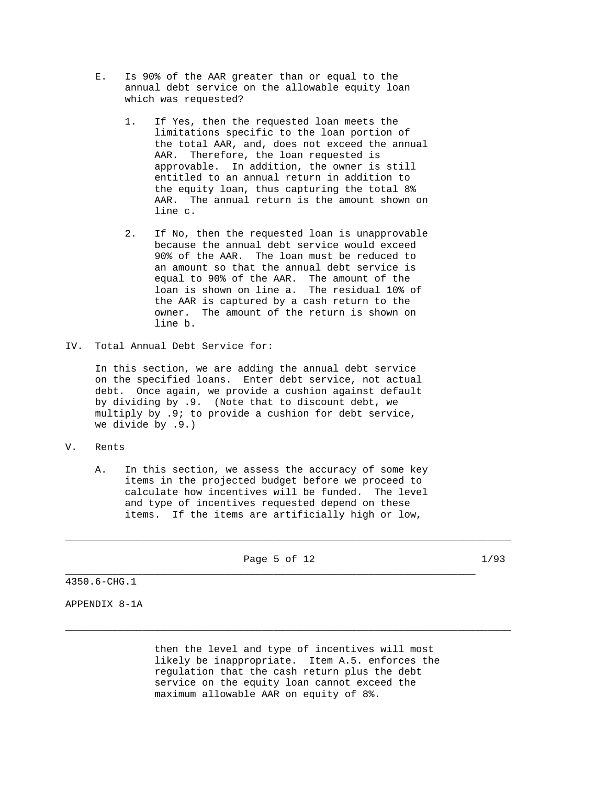- E. Is 90% of the AAR greater than or equal to the annual debt service on the allowable equity loan which was requested?
	- 1. If Yes, then the requested loan meets the limitations specific to the loan portion of the total AAR, and, does not exceed the annual AAR. Therefore, the loan requested is approvable. In addition, the owner is still entitled to an annual return in addition to the equity loan, thus capturing the total 8% AAR. The annual return is the amount shown on line c.
	- 2. If No, then the requested loan is unapprovable because the annual debt service would exceed 90% of the AAR. The loan must be reduced to an amount so that the annual debt service is equal to 90% of the AAR. The amount of the loan is shown on line a. The residual 10% of the AAR is captured by a cash return to the owner. The amount of the return is shown on line b.
- IV. Total Annual Debt Service for:

 In this section, we are adding the annual debt service on the specified loans. Enter debt service, not actual debt. Once again, we provide a cushion against default by dividing by .9. (Note that to discount debt, we multiply by .9; to provide a cushion for debt service, we divide by .9.)

- V. Rents
	- A. In this section, we assess the accuracy of some key items in the projected budget before we proceed to calculate how incentives will be funded. The level and type of incentives requested depend on these items. If the items are artificially high or low,

Page 5 of 12 1/93 \_\_\_\_\_\_\_\_\_\_\_\_\_\_\_\_\_\_\_\_\_\_\_\_\_\_\_\_\_\_\_\_\_\_\_\_\_\_\_\_\_\_\_\_\_\_\_\_\_\_\_\_\_\_\_\_\_\_\_\_\_\_\_\_\_\_\_\_\_

\_\_\_\_\_\_\_\_\_\_\_\_\_\_\_\_\_\_\_\_\_\_\_\_\_\_\_\_\_\_\_\_\_\_\_\_\_\_\_\_\_\_\_\_\_\_\_\_\_\_\_\_\_\_\_\_\_\_\_\_\_\_\_\_\_\_\_\_\_\_\_\_\_\_\_

4350.6-CHG.1

APPENDIX 8-1A

 then the level and type of incentives will most likely be inappropriate. Item A.5. enforces the regulation that the cash return plus the debt service on the equity loan cannot exceed the maximum allowable AAR on equity of 8%.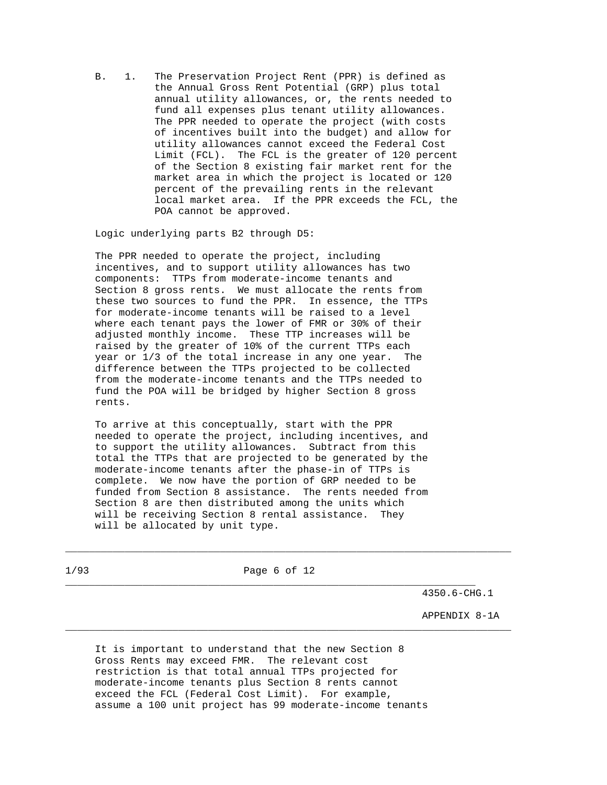B. 1. The Preservation Project Rent (PPR) is defined as the Annual Gross Rent Potential (GRP) plus total annual utility allowances, or, the rents needed to fund all expenses plus tenant utility allowances. The PPR needed to operate the project (with costs of incentives built into the budget) and allow for utility allowances cannot exceed the Federal Cost Limit (FCL). The FCL is the greater of 120 percent of the Section 8 existing fair market rent for the market area in which the project is located or 120 percent of the prevailing rents in the relevant local market area. If the PPR exceeds the FCL, the POA cannot be approved.

Logic underlying parts B2 through D5:

 The PPR needed to operate the project, including incentives, and to support utility allowances has two components: TTPs from moderate-income tenants and Section 8 gross rents. We must allocate the rents from these two sources to fund the PPR. In essence, the TTPs for moderate-income tenants will be raised to a level where each tenant pays the lower of FMR or 30% of their adjusted monthly income. These TTP increases will be raised by the greater of 10% of the current TTPs each year or 1/3 of the total increase in any one year. The difference between the TTPs projected to be collected from the moderate-income tenants and the TTPs needed to fund the POA will be bridged by higher Section 8 gross rents.

 To arrive at this conceptually, start with the PPR needed to operate the project, including incentives, and to support the utility allowances. Subtract from this total the TTPs that are projected to be generated by the moderate-income tenants after the phase-in of TTPs is complete. We now have the portion of GRP needed to be funded from Section 8 assistance. The rents needed from Section 8 are then distributed among the units which will be receiving Section 8 rental assistance. They will be allocated by unit type.

1/93 Page 6 of 12

\_\_\_\_\_\_\_\_\_\_\_\_\_\_\_\_\_\_\_\_\_\_\_\_\_\_\_\_\_\_\_\_\_\_\_\_\_\_\_\_\_\_\_\_\_\_\_\_\_\_\_\_\_\_\_\_\_\_\_\_\_\_\_\_\_\_\_\_\_

\_\_\_\_\_\_\_\_\_\_\_\_\_\_\_\_\_\_\_\_\_\_\_\_\_\_\_\_\_\_\_\_\_\_\_\_\_\_\_\_\_\_\_\_\_\_\_\_\_\_\_\_\_\_\_\_\_\_\_\_\_\_\_\_\_\_\_\_\_\_\_\_\_\_\_

\_\_\_\_\_\_\_\_\_\_\_\_\_\_\_\_\_\_\_\_\_\_\_\_\_\_\_\_\_\_\_\_\_\_\_\_\_\_\_\_\_\_\_\_\_\_\_\_\_\_\_\_\_\_\_\_\_\_\_\_\_\_\_\_\_\_\_\_\_\_\_\_\_\_\_

4350.6-CHG.1

APPENDIX 8-1A

 It is important to understand that the new Section 8 Gross Rents may exceed FMR. The relevant cost restriction is that total annual TTPs projected for moderate-income tenants plus Section 8 rents cannot exceed the FCL (Federal Cost Limit). For example, assume a 100 unit project has 99 moderate-income tenants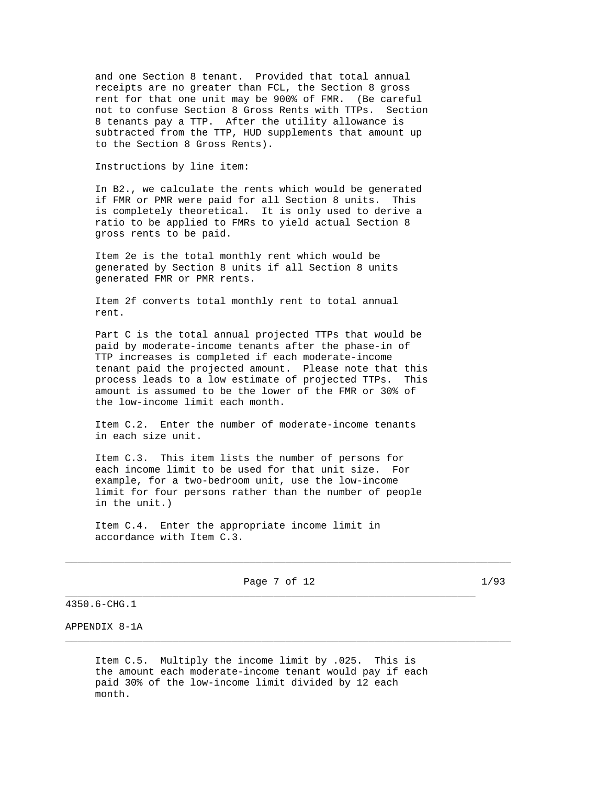and one Section 8 tenant. Provided that total annual receipts are no greater than FCL, the Section 8 gross rent for that one unit may be 900% of FMR. (Be careful not to confuse Section 8 Gross Rents with TTPs. Section 8 tenants pay a TTP. After the utility allowance is subtracted from the TTP, HUD supplements that amount up to the Section 8 Gross Rents).

Instructions by line item:

 In B2., we calculate the rents which would be generated if FMR or PMR were paid for all Section 8 units. This is completely theoretical. It is only used to derive a ratio to be applied to FMRs to yield actual Section 8 gross rents to be paid.

 Item 2e is the total monthly rent which would be generated by Section 8 units if all Section 8 units generated FMR or PMR rents.

 Item 2f converts total monthly rent to total annual rent.

 Part C is the total annual projected TTPs that would be paid by moderate-income tenants after the phase-in of TTP increases is completed if each moderate-income tenant paid the projected amount. Please note that this process leads to a low estimate of projected TTPs. This amount is assumed to be the lower of the FMR or 30% of the low-income limit each month.

 Item C.2. Enter the number of moderate-income tenants in each size unit.

 Item C.3. This item lists the number of persons for each income limit to be used for that unit size. For example, for a two-bedroom unit, use the low-income limit for four persons rather than the number of people in the unit.)

 Item C.4. Enter the appropriate income limit in accordance with Item C.3.

Page 7 of 12 1/93 \_\_\_\_\_\_\_\_\_\_\_\_\_\_\_\_\_\_\_\_\_\_\_\_\_\_\_\_\_\_\_\_\_\_\_\_\_\_\_\_\_\_\_\_\_\_\_\_\_\_\_\_\_\_\_\_\_\_\_\_\_\_\_\_\_\_\_\_\_

\_\_\_\_\_\_\_\_\_\_\_\_\_\_\_\_\_\_\_\_\_\_\_\_\_\_\_\_\_\_\_\_\_\_\_\_\_\_\_\_\_\_\_\_\_\_\_\_\_\_\_\_\_\_\_\_\_\_\_\_\_\_\_\_\_\_\_\_\_\_\_\_\_\_\_

\_\_\_\_\_\_\_\_\_\_\_\_\_\_\_\_\_\_\_\_\_\_\_\_\_\_\_\_\_\_\_\_\_\_\_\_\_\_\_\_\_\_\_\_\_\_\_\_\_\_\_\_\_\_\_\_\_\_\_\_\_\_\_\_\_\_\_\_\_\_\_\_\_\_\_

4350.6-CHG.1

APPENDIX 8-1A

 Item C.5. Multiply the income limit by .025. This is the amount each moderate-income tenant would pay if each paid 30% of the low-income limit divided by 12 each month.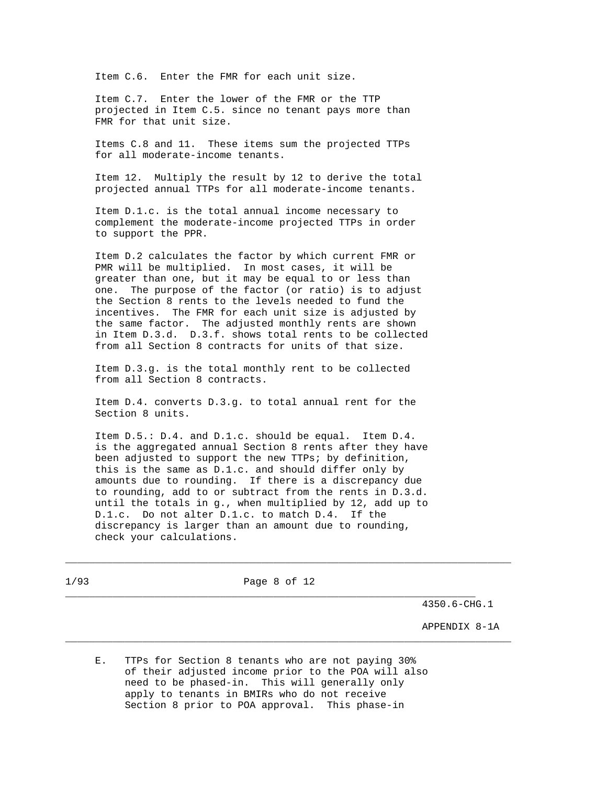Item C.6. Enter the FMR for each unit size.

 Item C.7. Enter the lower of the FMR or the TTP projected in Item C.5. since no tenant pays more than FMR for that unit size.

 Items C.8 and 11. These items sum the projected TTPs for all moderate-income tenants.

 Item 12. Multiply the result by 12 to derive the total projected annual TTPs for all moderate-income tenants.

 Item D.1.c. is the total annual income necessary to complement the moderate-income projected TTPs in order to support the PPR.

 Item D.2 calculates the factor by which current FMR or PMR will be multiplied. In most cases, it will be greater than one, but it may be equal to or less than one. The purpose of the factor (or ratio) is to adjust the Section 8 rents to the levels needed to fund the incentives. The FMR for each unit size is adjusted by the same factor. The adjusted monthly rents are shown in Item D.3.d. D.3.f. shows total rents to be collected from all Section 8 contracts for units of that size.

 Item D.3.g. is the total monthly rent to be collected from all Section 8 contracts.

 Item D.4. converts D.3.g. to total annual rent for the Section 8 units.

 Item D.5.: D.4. and D.1.c. should be equal. Item D.4. is the aggregated annual Section 8 rents after they have been adjusted to support the new TTPs; by definition, this is the same as D.1.c. and should differ only by amounts due to rounding. If there is a discrepancy due to rounding, add to or subtract from the rents in D.3.d. until the totals in g., when multiplied by 12, add up to D.1.c. Do not alter D.1.c. to match D.4. If the discrepancy is larger than an amount due to rounding, check your calculations.

1/93 Page 8 of 12

\_\_\_\_\_\_\_\_\_\_\_\_\_\_\_\_\_\_\_\_\_\_\_\_\_\_\_\_\_\_\_\_\_\_\_\_\_\_\_\_\_\_\_\_\_\_\_\_\_\_\_\_\_\_\_\_\_\_\_\_\_\_\_\_\_\_\_\_\_

\_\_\_\_\_\_\_\_\_\_\_\_\_\_\_\_\_\_\_\_\_\_\_\_\_\_\_\_\_\_\_\_\_\_\_\_\_\_\_\_\_\_\_\_\_\_\_\_\_\_\_\_\_\_\_\_\_\_\_\_\_\_\_\_\_\_\_\_\_\_\_\_\_\_\_

\_\_\_\_\_\_\_\_\_\_\_\_\_\_\_\_\_\_\_\_\_\_\_\_\_\_\_\_\_\_\_\_\_\_\_\_\_\_\_\_\_\_\_\_\_\_\_\_\_\_\_\_\_\_\_\_\_\_\_\_\_\_\_\_\_\_\_\_\_\_\_\_\_\_\_

4350.6-CHG.1

APPENDIX 8-1A

 E. TTPs for Section 8 tenants who are not paying 30% of their adjusted income prior to the POA will also need to be phased-in. This will generally only apply to tenants in BMIRs who do not receive Section 8 prior to POA approval. This phase-in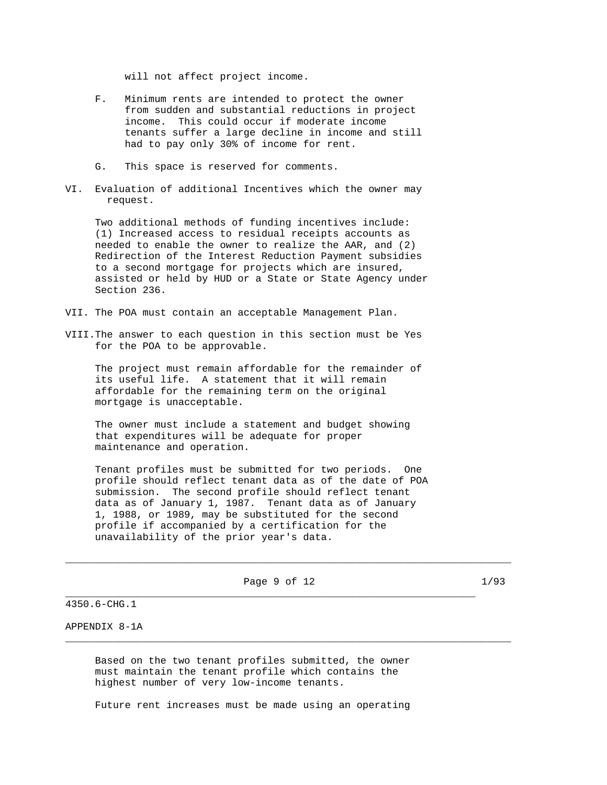will not affect project income.

- F. Minimum rents are intended to protect the owner from sudden and substantial reductions in project income. This could occur if moderate income tenants suffer a large decline in income and still had to pay only 30% of income for rent.
- G. This space is reserved for comments.
- VI. Evaluation of additional Incentives which the owner may request.

 Two additional methods of funding incentives include: (1) Increased access to residual receipts accounts as needed to enable the owner to realize the AAR, and (2) Redirection of the Interest Reduction Payment subsidies to a second mortgage for projects which are insured, assisted or held by HUD or a State or State Agency under Section 236.

- VII. The POA must contain an acceptable Management Plan.
- VIII.The answer to each question in this section must be Yes for the POA to be approvable.

 The project must remain affordable for the remainder of its useful life. A statement that it will remain affordable for the remaining term on the original mortgage is unacceptable.

 The owner must include a statement and budget showing that expenditures will be adequate for proper maintenance and operation.

 Tenant profiles must be submitted for two periods. One profile should reflect tenant data as of the date of POA submission. The second profile should reflect tenant data as of January 1, 1987. Tenant data as of January 1, 1988, or 1989, may be substituted for the second profile if accompanied by a certification for the unavailability of the prior year's data.

Page 9 of 12 1/93 \_\_\_\_\_\_\_\_\_\_\_\_\_\_\_\_\_\_\_\_\_\_\_\_\_\_\_\_\_\_\_\_\_\_\_\_\_\_\_\_\_\_\_\_\_\_\_\_\_\_\_\_\_\_\_\_\_\_\_\_\_\_\_\_\_\_\_\_\_

\_\_\_\_\_\_\_\_\_\_\_\_\_\_\_\_\_\_\_\_\_\_\_\_\_\_\_\_\_\_\_\_\_\_\_\_\_\_\_\_\_\_\_\_\_\_\_\_\_\_\_\_\_\_\_\_\_\_\_\_\_\_\_\_\_\_\_\_\_\_\_\_\_\_\_

\_\_\_\_\_\_\_\_\_\_\_\_\_\_\_\_\_\_\_\_\_\_\_\_\_\_\_\_\_\_\_\_\_\_\_\_\_\_\_\_\_\_\_\_\_\_\_\_\_\_\_\_\_\_\_\_\_\_\_\_\_\_\_\_\_\_\_\_\_\_\_\_\_\_\_

4350.6-CHG.1

# APPENDIX 8-1A

 Based on the two tenant profiles submitted, the owner must maintain the tenant profile which contains the highest number of very low-income tenants.

Future rent increases must be made using an operating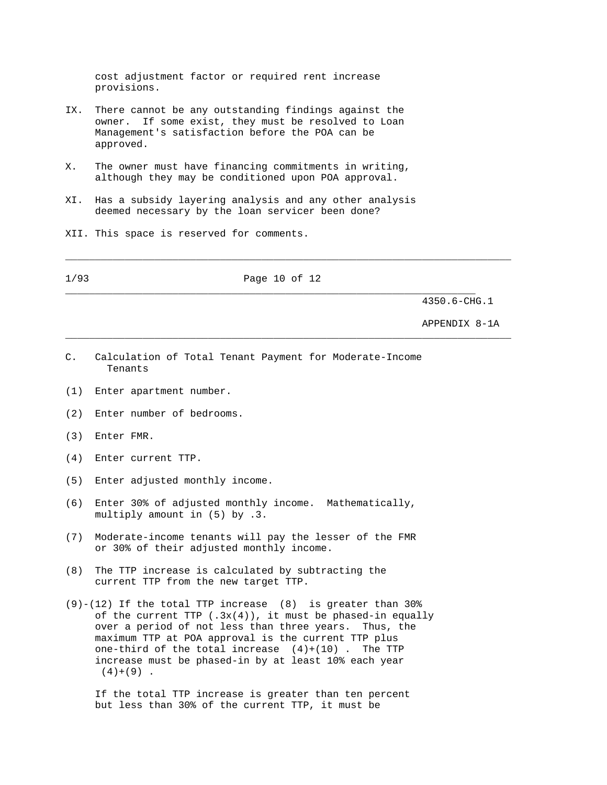cost adjustment factor or required rent increase provisions.

- IX. There cannot be any outstanding findings against the owner. If some exist, they must be resolved to Loan Management's satisfaction before the POA can be approved.
- X. The owner must have financing commitments in writing, although they may be conditioned upon POA approval.
- XI. Has a subsidy layering analysis and any other analysis deemed necessary by the loan servicer been done?

\_\_\_\_\_\_\_\_\_\_\_\_\_\_\_\_\_\_\_\_\_\_\_\_\_\_\_\_\_\_\_\_\_\_\_\_\_\_\_\_\_\_\_\_\_\_\_\_\_\_\_\_\_\_\_\_\_\_\_\_\_\_\_\_\_\_\_\_\_\_\_\_\_\_\_

\_\_\_\_\_\_\_\_\_\_\_\_\_\_\_\_\_\_\_\_\_\_\_\_\_\_\_\_\_\_\_\_\_\_\_\_\_\_\_\_\_\_\_\_\_\_\_\_\_\_\_\_\_\_\_\_\_\_\_\_\_\_\_\_\_\_\_\_\_\_\_\_\_\_\_

\_\_\_\_\_\_\_\_\_\_\_\_\_\_\_\_\_\_\_\_\_\_\_\_\_\_\_\_\_\_\_\_\_\_\_\_\_\_\_\_\_\_\_\_\_\_\_\_\_\_\_\_\_\_\_\_\_\_\_\_\_\_\_\_\_\_\_\_\_

XII. This space is reserved for comments.

1/93 Page 10 of 12

4350.6-CHG.1

APPENDIX 8-1A

- C. Calculation of Total Tenant Payment for Moderate-Income Tenants
- (1) Enter apartment number.
- (2) Enter number of bedrooms.
- (3) Enter FMR.
- (4) Enter current TTP.
- (5) Enter adjusted monthly income.
- (6) Enter 30% of adjusted monthly income. Mathematically, multiply amount in (5) by .3.
- (7) Moderate-income tenants will pay the lesser of the FMR or 30% of their adjusted monthly income.
- (8) The TTP increase is calculated by subtracting the current TTP from the new target TTP.
- $(9)-(12)$  If the total TTP increase  $(8)$  is greater than 30% of the current TTP  $(.3x(4))$ , it must be phased-in equally over a period of not less than three years. Thus, the maximum TTP at POA approval is the current TTP plus one-third of the total increase  $(4)+(10)$ . The TTP increase must be phased-in by at least 10% each year  $(4)+(9)$ .

 If the total TTP increase is greater than ten percent but less than 30% of the current TTP, it must be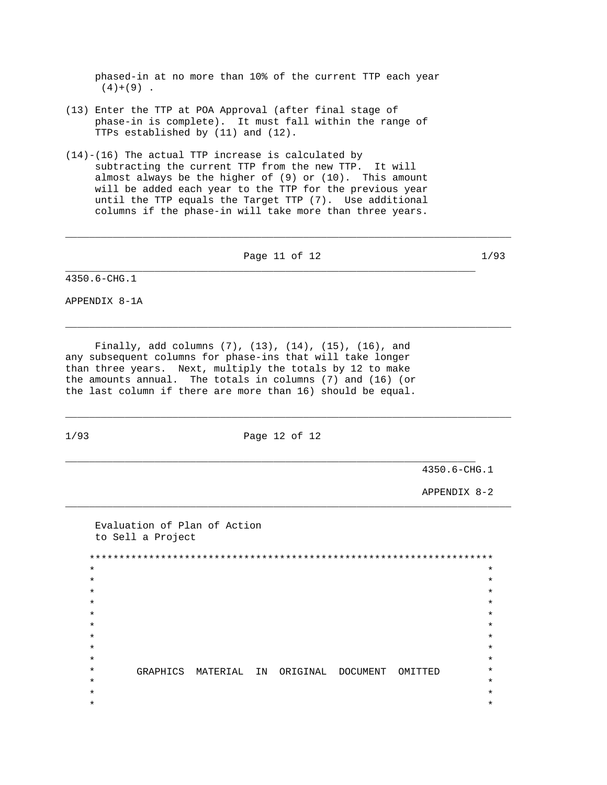phased-in at no more than 10% of the current TTP each year  $(4)+(9)$ .

- (13) Enter the TTP at POA Approval (after final stage of phase-in is complete). It must fall within the range of TTPs established by (11) and (12).
- (14)-(16) The actual TTP increase is calculated by subtracting the current TTP from the new TTP. It will almost always be the higher of (9) or (10). This amount will be added each year to the TTP for the previous year until the TTP equals the Target TTP (7). Use additional columns if the phase-in will take more than three years.

Page 11 of 12 1/93

\_\_\_\_\_\_\_\_\_\_\_\_\_\_\_\_\_\_\_\_\_\_\_\_\_\_\_\_\_\_\_\_\_\_\_\_\_\_\_\_\_\_\_\_\_\_\_\_\_\_\_\_\_\_\_\_\_\_\_\_\_\_\_\_\_\_\_\_\_\_\_\_\_\_\_

\_\_\_\_\_\_\_\_\_\_\_\_\_\_\_\_\_\_\_\_\_\_\_\_\_\_\_\_\_\_\_\_\_\_\_\_\_\_\_\_\_\_\_\_\_\_\_\_\_\_\_\_\_\_\_\_\_\_\_\_\_\_\_\_\_\_\_\_\_

\_\_\_\_\_\_\_\_\_\_\_\_\_\_\_\_\_\_\_\_\_\_\_\_\_\_\_\_\_\_\_\_\_\_\_\_\_\_\_\_\_\_\_\_\_\_\_\_\_\_\_\_\_\_\_\_\_\_\_\_\_\_\_\_\_\_\_\_\_\_\_\_\_\_\_

4350.6-CHG.1

APPENDIX 8-1A

 Finally, add columns (7), (13), (14), (15), (16), and any subsequent columns for phase-ins that will take longer than three years. Next, multiply the totals by 12 to make the amounts annual. The totals in columns (7) and (16) (or the last column if there are more than 16) should be equal.

1/93 Page 12 of 12

\_\_\_\_\_\_\_\_\_\_\_\_\_\_\_\_\_\_\_\_\_\_\_\_\_\_\_\_\_\_\_\_\_\_\_\_\_\_\_\_\_\_\_\_\_\_\_\_\_\_\_\_\_\_\_\_\_\_\_\_\_\_\_\_\_\_\_\_\_

\_\_\_\_\_\_\_\_\_\_\_\_\_\_\_\_\_\_\_\_\_\_\_\_\_\_\_\_\_\_\_\_\_\_\_\_\_\_\_\_\_\_\_\_\_\_\_\_\_\_\_\_\_\_\_\_\_\_\_\_\_\_\_\_\_\_\_\_\_\_\_\_\_\_\_

\_\_\_\_\_\_\_\_\_\_\_\_\_\_\_\_\_\_\_\_\_\_\_\_\_\_\_\_\_\_\_\_\_\_\_\_\_\_\_\_\_\_\_\_\_\_\_\_\_\_\_\_\_\_\_\_\_\_\_\_\_\_\_\_\_\_\_\_\_\_\_\_\_\_\_

4350.6-CHG.1

APPENDIX 8-2

 Evaluation of Plan of Action to Sell a Project \*\*\*\*\*\*\*\*\*\*\*\*\*\*\*\*\*\*\*\*\*\*\*\*\*\*\*\*\*\*\*\*\*\*\*\*\*\*\*\*\*\*\*\*\*\*\*\*\*\*\*\*\*\*\*\*\*\*\*\*\*\*\*\*\*\*\*\*  $\star$  \*  $\star$  \*  $\star$  \*  $\star$   $\star$  $\star$  \*  $\star$  \*  $\star$  \*  $\star$  \*  $\star$   $\star$  \* GRAPHICS MATERIAL IN ORIGINAL DOCUMENT OMITTED \*  $\star$  \*  $\star$  \*  $\star$  \*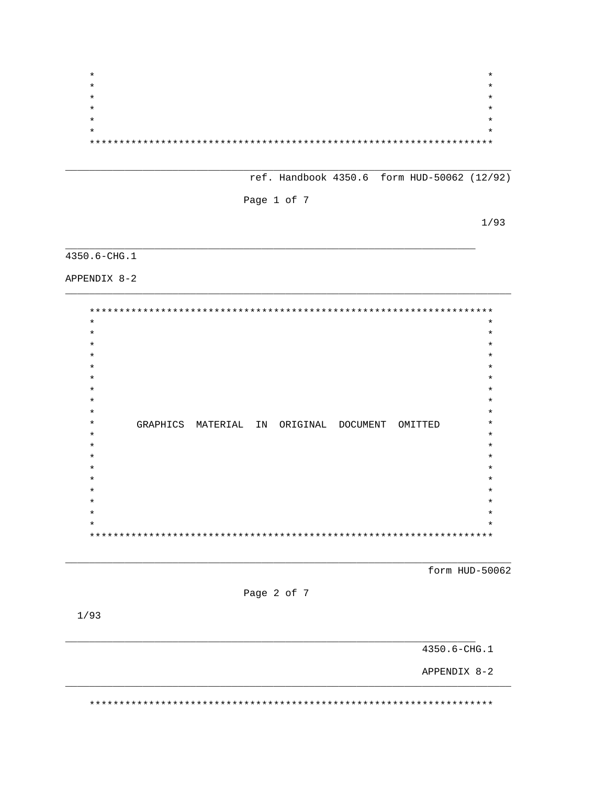$\star$  $\star$  $\star$  $\star$  $\ast$  $\star$  $\star$ 

ref. Handbook 4350.6 form HUD-50062 (12/92)

Page 1 of 7

 $1/93$ 

# $4350.6 - CHG.1$

APPENDIX 8-2

 $* *$  $\star$  $\ast$  $\star$  $\star$  $\star$  $\star$  $\star$  $\star$  $\star$  $\star$  $\star$ GRAPHICS MATERIAL IN ORIGINAL DOCUMENT OMITTED  $\star$  $\star$  $\star$  $\star$  $\star$  $\star$  $\star$ 

form HUD-50062



 $1/93$ 

4350.6-CHG.1

APPENDIX 8-2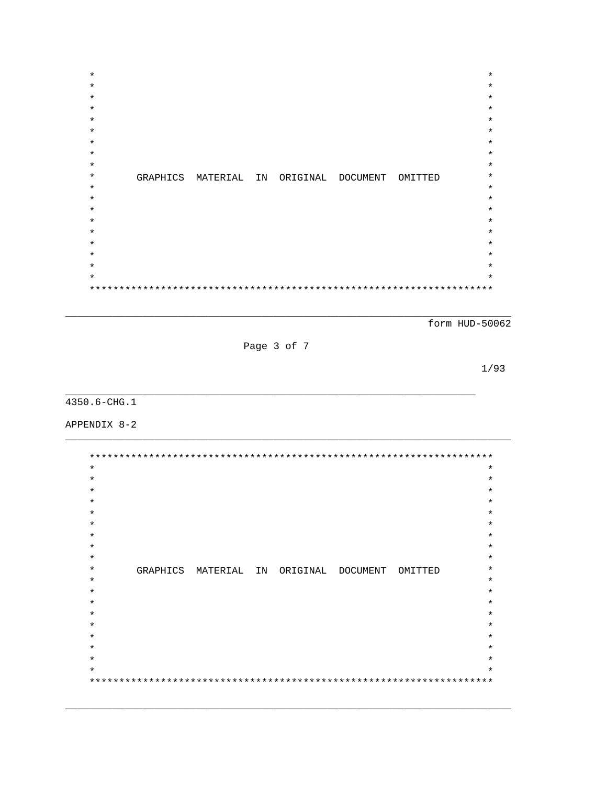$\star$  $\star$  $\star$  $\star$  $\ast$  $\star$  $\star$  $\star$  $\star$  $\star$  $\star$ GRAPHICS MATERIAL IN ORIGINAL DOCUMENT OMITTED  $\star$  $\star$  $\star$  $\star$  $\star$ 

form HUD-50062

Page 3 of 7

 $1/93$ 

4350.6-CHG.1

APPENDIX 8-2

 $\star$  $\star$  $\star$  $\star$  $\star$  $\star$  $\star$  $\star$  $\star$  $\star$ GRAPHICS MATERIAL IN ORIGINAL DOCUMENT OMITTED  $\star$  $\star$  $\star$  $\star$ ÷  $\star$  $\star$  $\star$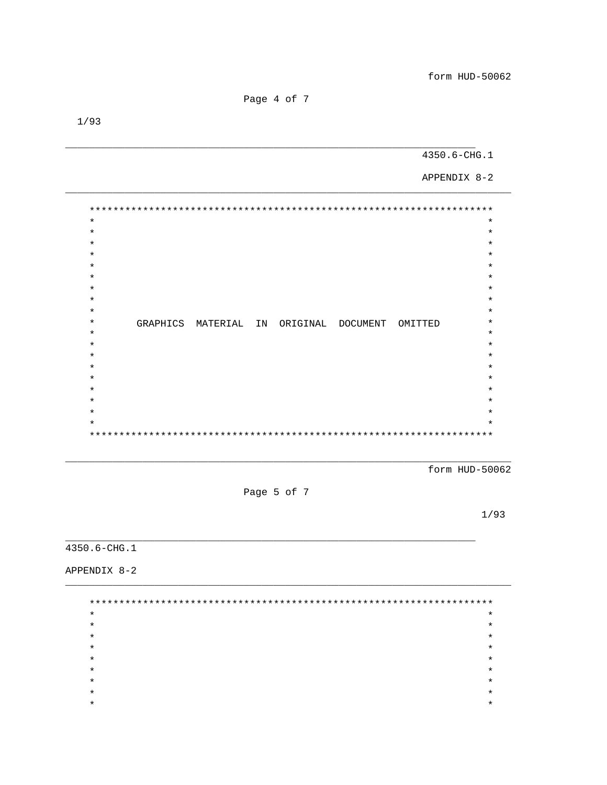Page 4 of 7

4350.6-CHG.1

APPENDIX 8-2

 $\star$  $\star$  $\star$  $\star$  $\star$  $\star$  $\star$  $\star$  $\star$  $\star$  $\star$  $\star$  $\star$  $\star$  $\star$  $\ddot{\textbf{r}}$  $\star$  $\star$ GRAPHICS MATERIAL IN ORIGINAL DOCUMENT OMITTED  $\star$  $\star$  $\star$  $\star$  $\star$  $\star$  $\star$  $\star$  $\star$  $\star$  $\star$  $\star$  $\star$  $\star$  $\star$ 

form HUD-50062

Page 5 of 7

 $1/93$ 

4350.6-CHG.1

APPENDIX 8-2

| $\star$ | $\star$ |
|---------|---------|
| $\ast$  | $\star$ |
| $\star$ | $\star$ |
| $\star$ | $\star$ |
| $\ast$  | $\star$ |
| $\star$ | $\star$ |
| $\star$ | $\star$ |
| $\star$ | $\star$ |
| *       | $\star$ |
|         |         |

 $1/93$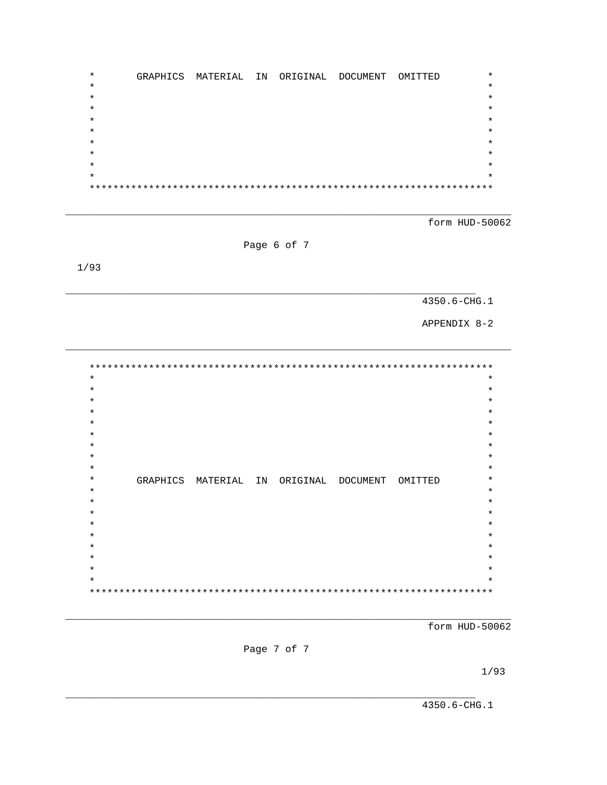$\star$ GRAPHICS MATERIAL IN ORIGINAL DOCUMENT OMITTED  $\star$  $\star$  $\star$  $\star$  $\star$  $\star$  $\star$  $\star$  $\star$  $***$ 

form HUD-50062

Page 6 of 7

 $1/93$ 

4350.6-CHG.1

APPENDIX 8-2

 $\star$  $\star$  $\star$  $\star$  $\star$  $\star$  $\star$  $\star$  $\star$  $\star$  $\star$  $\star$  $\star$  $\star$ GRAPHICS MATERIAL IN ORIGINAL DOCUMENT OMITTED  $\star$  $\star$  $\star$  $\ast$  $\ast$  $\star$  $\star$ 

form HUD-50062

Page 7 of 7

 $1/93$ 

4350.6-CHG.1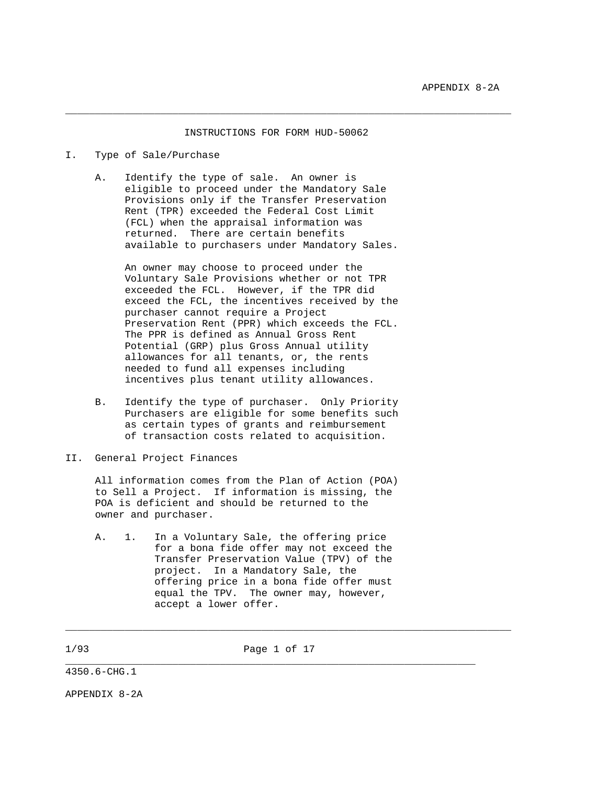#### INSTRUCTIONS FOR FORM HUD-50062

\_\_\_\_\_\_\_\_\_\_\_\_\_\_\_\_\_\_\_\_\_\_\_\_\_\_\_\_\_\_\_\_\_\_\_\_\_\_\_\_\_\_\_\_\_\_\_\_\_\_\_\_\_\_\_\_\_\_\_\_\_\_\_\_\_\_\_\_\_\_\_\_\_\_\_

# I. Type of Sale/Purchase

 A. Identify the type of sale. An owner is eligible to proceed under the Mandatory Sale Provisions only if the Transfer Preservation Rent (TPR) exceeded the Federal Cost Limit (FCL) when the appraisal information was returned. There are certain benefits available to purchasers under Mandatory Sales.

 An owner may choose to proceed under the Voluntary Sale Provisions whether or not TPR exceeded the FCL. However, if the TPR did exceed the FCL, the incentives received by the purchaser cannot require a Project Preservation Rent (PPR) which exceeds the FCL. The PPR is defined as Annual Gross Rent Potential (GRP) plus Gross Annual utility allowances for all tenants, or, the rents needed to fund all expenses including incentives plus tenant utility allowances.

 B. Identify the type of purchaser. Only Priority Purchasers are eligible for some benefits such as certain types of grants and reimbursement of transaction costs related to acquisition.

### II. General Project Finances

 All information comes from the Plan of Action (POA) to Sell a Project. If information is missing, the POA is deficient and should be returned to the owner and purchaser.

 A. 1. In a Voluntary Sale, the offering price for a bona fide offer may not exceed the Transfer Preservation Value (TPV) of the project. In a Mandatory Sale, the offering price in a bona fide offer must equal the TPV. The owner may, however, accept a lower offer.

1/93 Page 1 of 17

\_\_\_\_\_\_\_\_\_\_\_\_\_\_\_\_\_\_\_\_\_\_\_\_\_\_\_\_\_\_\_\_\_\_\_\_\_\_\_\_\_\_\_\_\_\_\_\_\_\_\_\_\_\_\_\_\_\_\_\_\_\_\_\_\_\_\_\_\_

\_\_\_\_\_\_\_\_\_\_\_\_\_\_\_\_\_\_\_\_\_\_\_\_\_\_\_\_\_\_\_\_\_\_\_\_\_\_\_\_\_\_\_\_\_\_\_\_\_\_\_\_\_\_\_\_\_\_\_\_\_\_\_\_\_\_\_\_\_\_\_\_\_\_\_

4350.6-CHG.1

APPENDIX 8-2A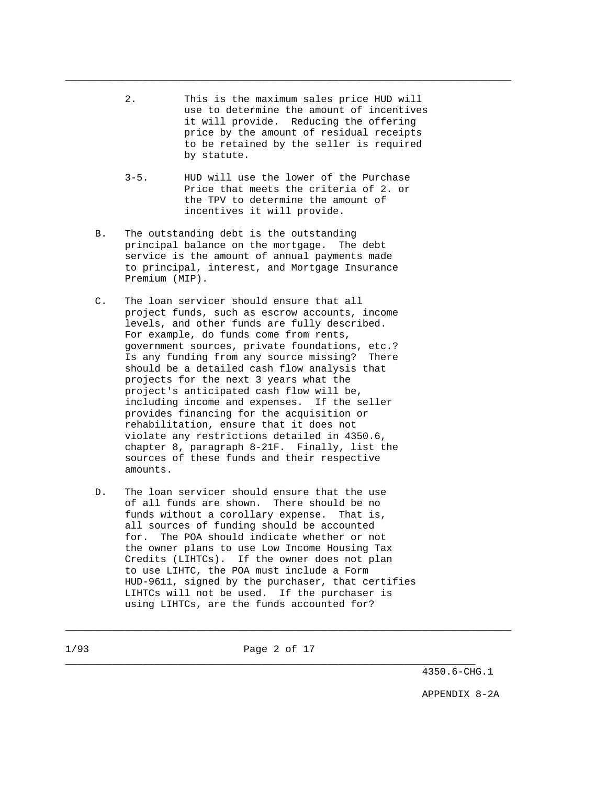| 2. | This is the maximum sales price HUD will  |
|----|-------------------------------------------|
|    | use to determine the amount of incentives |
|    | it will provide. Reducing the offering    |
|    | price by the amount of residual receipts  |
|    | to be retained by the seller is required  |
|    | by statute.                               |

\_\_\_\_\_\_\_\_\_\_\_\_\_\_\_\_\_\_\_\_\_\_\_\_\_\_\_\_\_\_\_\_\_\_\_\_\_\_\_\_\_\_\_\_\_\_\_\_\_\_\_\_\_\_\_\_\_\_\_\_\_\_\_\_\_\_\_\_\_\_\_\_\_\_\_

- 3-5. HUD will use the lower of the Purchase Price that meets the criteria of 2. or the TPV to determine the amount of incentives it will provide.
- B. The outstanding debt is the outstanding principal balance on the mortgage. The debt service is the amount of annual payments made to principal, interest, and Mortgage Insurance Premium (MIP).
- C. The loan servicer should ensure that all project funds, such as escrow accounts, income levels, and other funds are fully described. For example, do funds come from rents, government sources, private foundations, etc.? Is any funding from any source missing? There should be a detailed cash flow analysis that projects for the next 3 years what the project's anticipated cash flow will be, including income and expenses. If the seller provides financing for the acquisition or rehabilitation, ensure that it does not violate any restrictions detailed in 4350.6, chapter 8, paragraph 8-21F. Finally, list the sources of these funds and their respective amounts.
- D. The loan servicer should ensure that the use of all funds are shown. There should be no funds without a corollary expense. That is, all sources of funding should be accounted for. The POA should indicate whether or not the owner plans to use Low Income Housing Tax Credits (LIHTCs). If the owner does not plan to use LIHTC, the POA must include a Form HUD-9611, signed by the purchaser, that certifies LIHTCs will not be used. If the purchaser is using LIHTCs, are the funds accounted for?

\_\_\_\_\_\_\_\_\_\_\_\_\_\_\_\_\_\_\_\_\_\_\_\_\_\_\_\_\_\_\_\_\_\_\_\_\_\_\_\_\_\_\_\_\_\_\_\_\_\_\_\_\_\_\_\_\_\_\_\_\_\_\_\_\_\_\_\_\_\_\_\_\_\_\_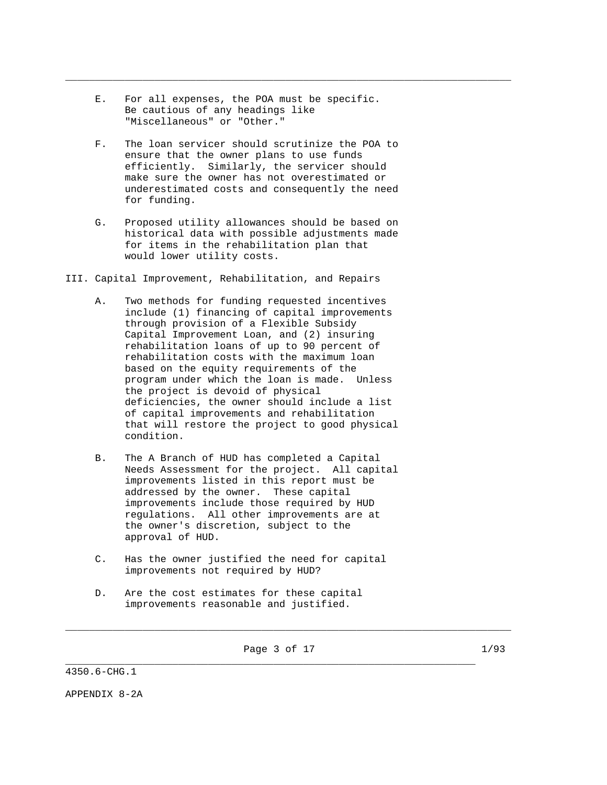E. For all expenses, the POA must be specific. Be cautious of any headings like "Miscellaneous" or "Other."

\_\_\_\_\_\_\_\_\_\_\_\_\_\_\_\_\_\_\_\_\_\_\_\_\_\_\_\_\_\_\_\_\_\_\_\_\_\_\_\_\_\_\_\_\_\_\_\_\_\_\_\_\_\_\_\_\_\_\_\_\_\_\_\_\_\_\_\_\_\_\_\_\_\_\_

- F. The loan servicer should scrutinize the POA to ensure that the owner plans to use funds efficiently. Similarly, the servicer should make sure the owner has not overestimated or underestimated costs and consequently the need for funding.
- G. Proposed utility allowances should be based on historical data with possible adjustments made for items in the rehabilitation plan that would lower utility costs.
- III. Capital Improvement, Rehabilitation, and Repairs
	- A. Two methods for funding requested incentives include (1) financing of capital improvements through provision of a Flexible Subsidy Capital Improvement Loan, and (2) insuring rehabilitation loans of up to 90 percent of rehabilitation costs with the maximum loan based on the equity requirements of the program under which the loan is made. Unless the project is devoid of physical deficiencies, the owner should include a list of capital improvements and rehabilitation that will restore the project to good physical condition.
	- B. The A Branch of HUD has completed a Capital Needs Assessment for the project. All capital improvements listed in this report must be addressed by the owner. These capital improvements include those required by HUD regulations. All other improvements are at the owner's discretion, subject to the approval of HUD.
	- C. Has the owner justified the need for capital improvements not required by HUD?
	- D. Are the cost estimates for these capital improvements reasonable and justified.

Page 3 of 17 1/93

\_\_\_\_\_\_\_\_\_\_\_\_\_\_\_\_\_\_\_\_\_\_\_\_\_\_\_\_\_\_\_\_\_\_\_\_\_\_\_\_\_\_\_\_\_\_\_\_\_\_\_\_\_\_\_\_\_\_\_\_\_\_\_\_\_\_\_\_\_

\_\_\_\_\_\_\_\_\_\_\_\_\_\_\_\_\_\_\_\_\_\_\_\_\_\_\_\_\_\_\_\_\_\_\_\_\_\_\_\_\_\_\_\_\_\_\_\_\_\_\_\_\_\_\_\_\_\_\_\_\_\_\_\_\_\_\_\_\_\_\_\_\_\_\_

4350.6-CHG.1

APPENDIX 8-2A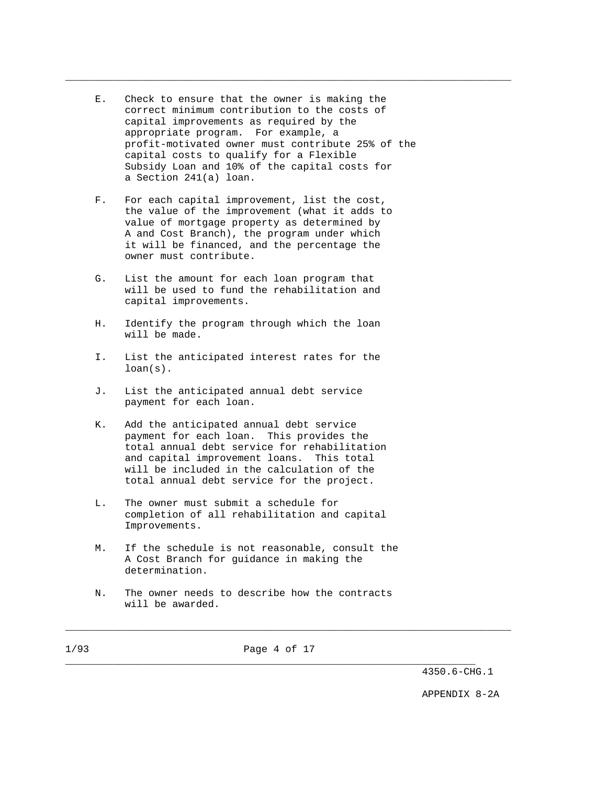E. Check to ensure that the owner is making the correct minimum contribution to the costs of capital improvements as required by the appropriate program. For example, a profit-motivated owner must contribute 25% of the capital costs to qualify for a Flexible Subsidy Loan and 10% of the capital costs for a Section 241(a) loan.

\_\_\_\_\_\_\_\_\_\_\_\_\_\_\_\_\_\_\_\_\_\_\_\_\_\_\_\_\_\_\_\_\_\_\_\_\_\_\_\_\_\_\_\_\_\_\_\_\_\_\_\_\_\_\_\_\_\_\_\_\_\_\_\_\_\_\_\_\_\_\_\_\_\_\_

- F. For each capital improvement, list the cost, the value of the improvement (what it adds to value of mortgage property as determined by A and Cost Branch), the program under which it will be financed, and the percentage the owner must contribute.
- G. List the amount for each loan program that will be used to fund the rehabilitation and capital improvements.
- H. Identify the program through which the loan will be made.
- I. List the anticipated interest rates for the loan(s).
- J. List the anticipated annual debt service payment for each loan.
- K. Add the anticipated annual debt service payment for each loan. This provides the total annual debt service for rehabilitation and capital improvement loans. This total will be included in the calculation of the total annual debt service for the project.
- L. The owner must submit a schedule for completion of all rehabilitation and capital Improvements.
- M. If the schedule is not reasonable, consult the A Cost Branch for guidance in making the determination.
- N. The owner needs to describe how the contracts will be awarded.

\_\_\_\_\_\_\_\_\_\_\_\_\_\_\_\_\_\_\_\_\_\_\_\_\_\_\_\_\_\_\_\_\_\_\_\_\_\_\_\_\_\_\_\_\_\_\_\_\_\_\_\_\_\_\_\_\_\_\_\_\_\_\_\_\_\_\_\_\_

\_\_\_\_\_\_\_\_\_\_\_\_\_\_\_\_\_\_\_\_\_\_\_\_\_\_\_\_\_\_\_\_\_\_\_\_\_\_\_\_\_\_\_\_\_\_\_\_\_\_\_\_\_\_\_\_\_\_\_\_\_\_\_\_\_\_\_\_\_\_\_\_\_\_\_

4350.6-CHG.1

APPENDIX 8-2A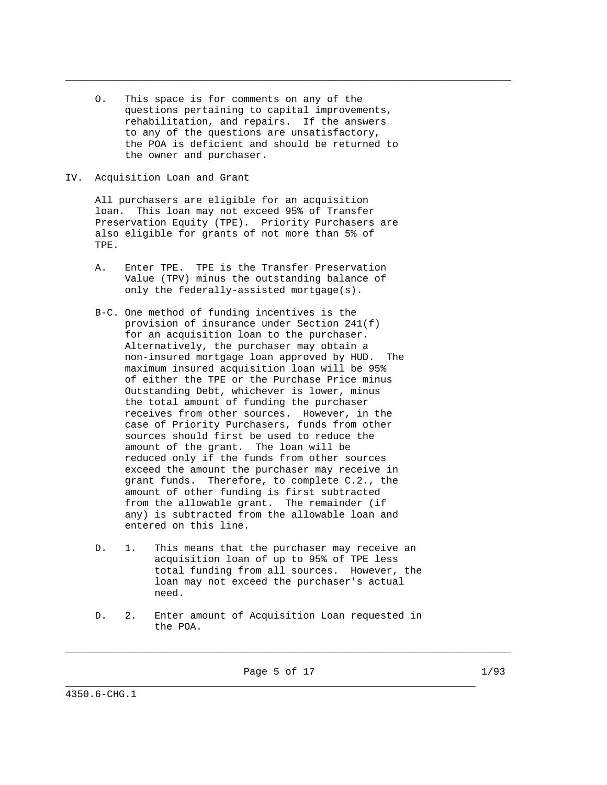O. This space is for comments on any of the questions pertaining to capital improvements, rehabilitation, and repairs. If the answers to any of the questions are unsatisfactory, the POA is deficient and should be returned to the owner and purchaser.

\_\_\_\_\_\_\_\_\_\_\_\_\_\_\_\_\_\_\_\_\_\_\_\_\_\_\_\_\_\_\_\_\_\_\_\_\_\_\_\_\_\_\_\_\_\_\_\_\_\_\_\_\_\_\_\_\_\_\_\_\_\_\_\_\_\_\_\_\_\_\_\_\_\_\_

### IV. Acquisition Loan and Grant

 All purchasers are eligible for an acquisition loan. This loan may not exceed 95% of Transfer Preservation Equity (TPE). Priority Purchasers are also eligible for grants of not more than 5% of TPE.

- A. Enter TPE. TPE is the Transfer Preservation Value (TPV) minus the outstanding balance of only the federally-assisted mortgage(s).
- B-C. One method of funding incentives is the provision of insurance under Section 241(f) for an acquisition loan to the purchaser. Alternatively, the purchaser may obtain a non-insured mortgage loan approved by HUD. The maximum insured acquisition loan will be 95% of either the TPE or the Purchase Price minus Outstanding Debt, whichever is lower, minus the total amount of funding the purchaser receives from other sources. However, in the case of Priority Purchasers, funds from other sources should first be used to reduce the amount of the grant. The loan will be reduced only if the funds from other sources exceed the amount the purchaser may receive in grant funds. Therefore, to complete C.2., the amount of other funding is first subtracted from the allowable grant. The remainder (if any) is subtracted from the allowable loan and entered on this line.
- D. 1. This means that the purchaser may receive an acquisition loan of up to 95% of TPE less total funding from all sources. However, the loan may not exceed the purchaser's actual need.
- D. 2. Enter amount of Acquisition Loan requested in the POA.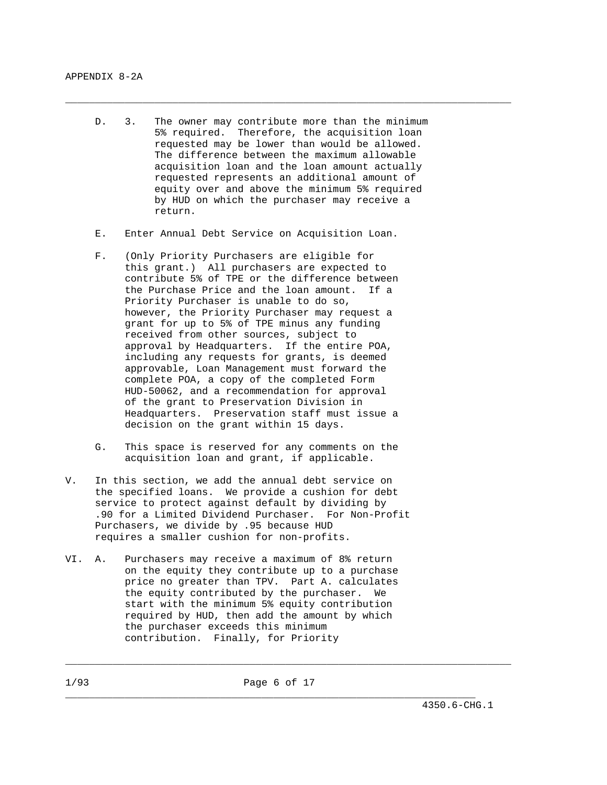D. 3. The owner may contribute more than the minimum 5% required. Therefore, the acquisition loan requested may be lower than would be allowed. The difference between the maximum allowable acquisition loan and the loan amount actually requested represents an additional amount of equity over and above the minimum 5% required by HUD on which the purchaser may receive a return.

\_\_\_\_\_\_\_\_\_\_\_\_\_\_\_\_\_\_\_\_\_\_\_\_\_\_\_\_\_\_\_\_\_\_\_\_\_\_\_\_\_\_\_\_\_\_\_\_\_\_\_\_\_\_\_\_\_\_\_\_\_\_\_\_\_\_\_\_\_\_\_\_\_\_\_

- E. Enter Annual Debt Service on Acquisition Loan.
- F. (Only Priority Purchasers are eligible for this grant.) All purchasers are expected to contribute 5% of TPE or the difference between the Purchase Price and the loan amount. If a Priority Purchaser is unable to do so, however, the Priority Purchaser may request a grant for up to 5% of TPE minus any funding received from other sources, subject to approval by Headquarters. If the entire POA, including any requests for grants, is deemed approvable, Loan Management must forward the complete POA, a copy of the completed Form HUD-50062, and a recommendation for approval of the grant to Preservation Division in Headquarters. Preservation staff must issue a decision on the grant within 15 days.
- G. This space is reserved for any comments on the acquisition loan and grant, if applicable.
- V. In this section, we add the annual debt service on the specified loans. We provide a cushion for debt service to protect against default by dividing by .90 for a Limited Dividend Purchaser. For Non-Profit Purchasers, we divide by .95 because HUD requires a smaller cushion for non-profits.
- VI. A. Purchasers may receive a maximum of 8% return on the equity they contribute up to a purchase price no greater than TPV. Part A. calculates the equity contributed by the purchaser. We start with the minimum 5% equity contribution required by HUD, then add the amount by which the purchaser exceeds this minimum contribution. Finally, for Priority

\_\_\_\_\_\_\_\_\_\_\_\_\_\_\_\_\_\_\_\_\_\_\_\_\_\_\_\_\_\_\_\_\_\_\_\_\_\_\_\_\_\_\_\_\_\_\_\_\_\_\_\_\_\_\_\_\_\_\_\_\_\_\_\_\_\_\_\_\_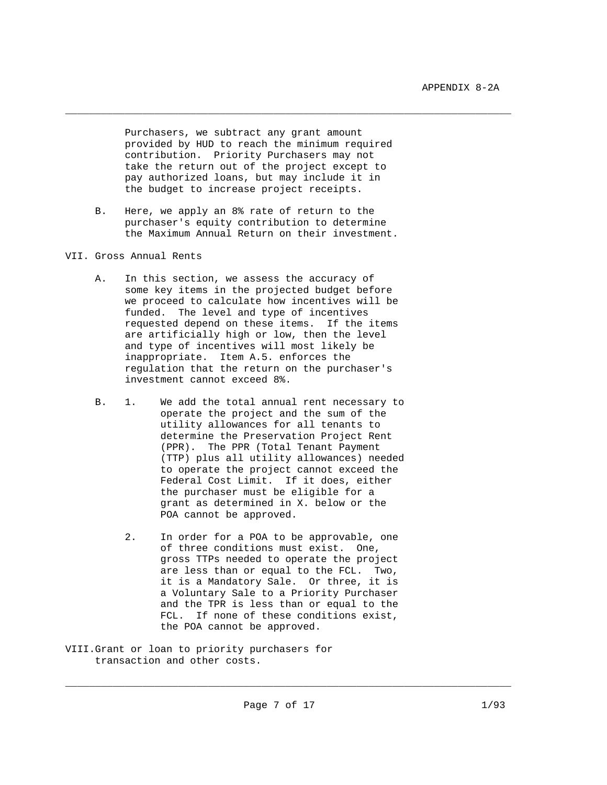Purchasers, we subtract any grant amount provided by HUD to reach the minimum required contribution. Priority Purchasers may not take the return out of the project except to pay authorized loans, but may include it in the budget to increase project receipts.

\_\_\_\_\_\_\_\_\_\_\_\_\_\_\_\_\_\_\_\_\_\_\_\_\_\_\_\_\_\_\_\_\_\_\_\_\_\_\_\_\_\_\_\_\_\_\_\_\_\_\_\_\_\_\_\_\_\_\_\_\_\_\_\_\_\_\_\_\_\_\_\_\_\_\_

 B. Here, we apply an 8% rate of return to the purchaser's equity contribution to determine the Maximum Annual Return on their investment.

# VII. Gross Annual Rents

- A. In this section, we assess the accuracy of some key items in the projected budget before we proceed to calculate how incentives will be funded. The level and type of incentives requested depend on these items. If the items are artificially high or low, then the level and type of incentives will most likely be inappropriate. Item A.5. enforces the regulation that the return on the purchaser's investment cannot exceed 8%.
- B. 1. We add the total annual rent necessary to operate the project and the sum of the utility allowances for all tenants to determine the Preservation Project Rent (PPR). The PPR (Total Tenant Payment (TTP) plus all utility allowances) needed to operate the project cannot exceed the Federal Cost Limit. If it does, either the purchaser must be eligible for a grant as determined in X. below or the POA cannot be approved.
	- 2. In order for a POA to be approvable, one of three conditions must exist. One, gross TTPs needed to operate the project are less than or equal to the FCL. Two, it is a Mandatory Sale. Or three, it is a Voluntary Sale to a Priority Purchaser and the TPR is less than or equal to the FCL. If none of these conditions exist, the POA cannot be approved.
- VIII.Grant or loan to priority purchasers for transaction and other costs.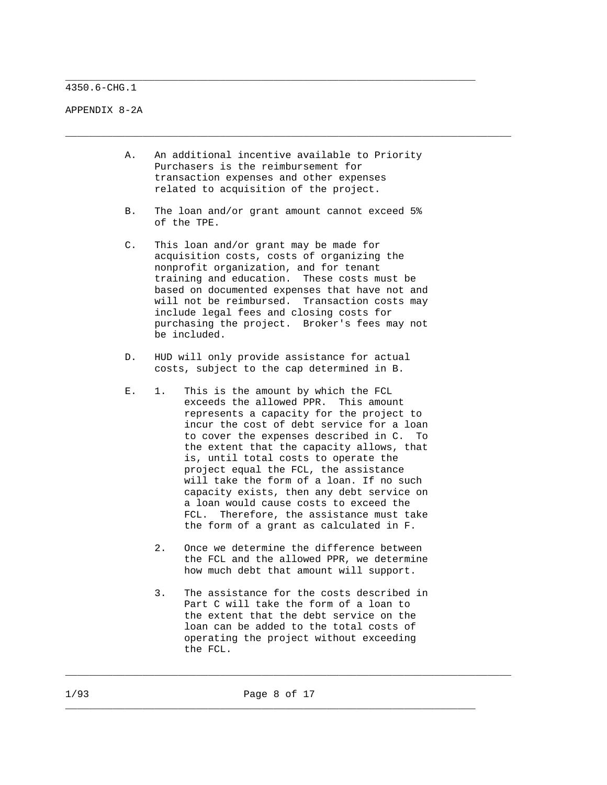4350.6-CHG.1

APPENDIX 8-2A

 A. An additional incentive available to Priority Purchasers is the reimbursement for transaction expenses and other expenses related to acquisition of the project.

\_\_\_\_\_\_\_\_\_\_\_\_\_\_\_\_\_\_\_\_\_\_\_\_\_\_\_\_\_\_\_\_\_\_\_\_\_\_\_\_\_\_\_\_\_\_\_\_\_\_\_\_\_\_\_\_\_\_\_\_\_\_\_\_\_\_\_\_\_\_\_\_\_\_\_

\_\_\_\_\_\_\_\_\_\_\_\_\_\_\_\_\_\_\_\_\_\_\_\_\_\_\_\_\_\_\_\_\_\_\_\_\_\_\_\_\_\_\_\_\_\_\_\_\_\_\_\_\_\_\_\_\_\_\_\_\_\_\_\_\_\_\_\_\_

- B. The loan and/or grant amount cannot exceed 5% of the TPE.
- C. This loan and/or grant may be made for acquisition costs, costs of organizing the nonprofit organization, and for tenant training and education. These costs must be based on documented expenses that have not and will not be reimbursed. Transaction costs may include legal fees and closing costs for purchasing the project. Broker's fees may not be included.
- D. HUD will only provide assistance for actual costs, subject to the cap determined in B.
- E. 1. This is the amount by which the FCL exceeds the allowed PPR. This amount represents a capacity for the project to incur the cost of debt service for a loan to cover the expenses described in C. To the extent that the capacity allows, that is, until total costs to operate the project equal the FCL, the assistance will take the form of a loan. If no such capacity exists, then any debt service on a loan would cause costs to exceed the FCL. Therefore, the assistance must take the form of a grant as calculated in F.
	- 2. Once we determine the difference between the FCL and the allowed PPR, we determine how much debt that amount will support.
	- 3. The assistance for the costs described in Part C will take the form of a loan to the extent that the debt service on the loan can be added to the total costs of operating the project without exceeding the FCL.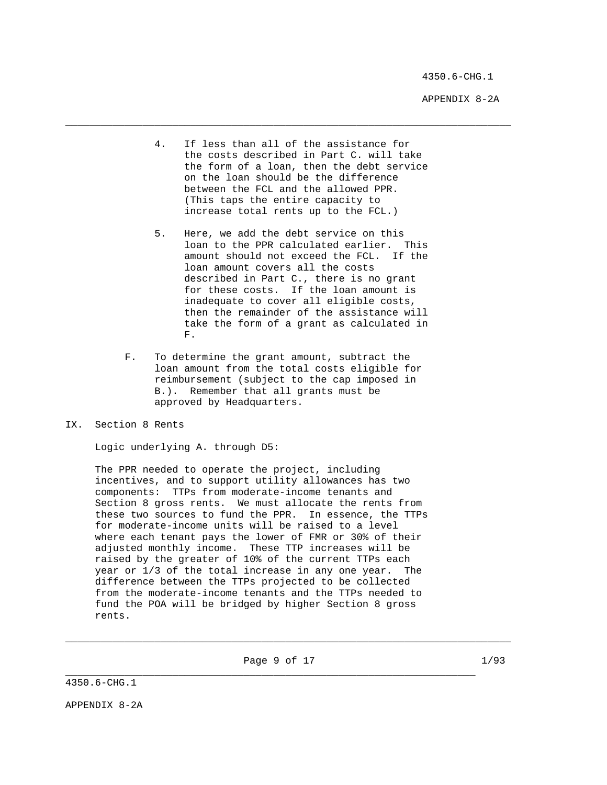4350.6-CHG.1

APPENDIX 8-2A

 4. If less than all of the assistance for the costs described in Part C. will take the form of a loan, then the debt service on the loan should be the difference between the FCL and the allowed PPR. (This taps the entire capacity to increase total rents up to the FCL.)

\_\_\_\_\_\_\_\_\_\_\_\_\_\_\_\_\_\_\_\_\_\_\_\_\_\_\_\_\_\_\_\_\_\_\_\_\_\_\_\_\_\_\_\_\_\_\_\_\_\_\_\_\_\_\_\_\_\_\_\_\_\_\_\_\_\_\_\_\_\_\_\_\_\_\_

- 5. Here, we add the debt service on this loan to the PPR calculated earlier. This amount should not exceed the FCL. If the loan amount covers all the costs described in Part C., there is no grant for these costs. If the loan amount is inadequate to cover all eligible costs, then the remainder of the assistance will take the form of a grant as calculated in **F. F.** 
	- F. To determine the grant amount, subtract the loan amount from the total costs eligible for reimbursement (subject to the cap imposed in B.). Remember that all grants must be approved by Headquarters.

# IX. Section 8 Rents

Logic underlying A. through D5:

 The PPR needed to operate the project, including incentives, and to support utility allowances has two components: TTPs from moderate-income tenants and Section 8 gross rents. We must allocate the rents from these two sources to fund the PPR. In essence, the TTPs for moderate-income units will be raised to a level where each tenant pays the lower of FMR or 30% of their adjusted monthly income. These TTP increases will be raised by the greater of 10% of the current TTPs each year or 1/3 of the total increase in any one year. The difference between the TTPs projected to be collected from the moderate-income tenants and the TTPs needed to fund the POA will be bridged by higher Section 8 gross rents.

Page 9 of 17 1/93

\_\_\_\_\_\_\_\_\_\_\_\_\_\_\_\_\_\_\_\_\_\_\_\_\_\_\_\_\_\_\_\_\_\_\_\_\_\_\_\_\_\_\_\_\_\_\_\_\_\_\_\_\_\_\_\_\_\_\_\_\_\_\_\_\_\_\_\_\_

\_\_\_\_\_\_\_\_\_\_\_\_\_\_\_\_\_\_\_\_\_\_\_\_\_\_\_\_\_\_\_\_\_\_\_\_\_\_\_\_\_\_\_\_\_\_\_\_\_\_\_\_\_\_\_\_\_\_\_\_\_\_\_\_\_\_\_\_\_\_\_\_\_\_\_

4350.6-CHG.1

APPENDIX 8-2A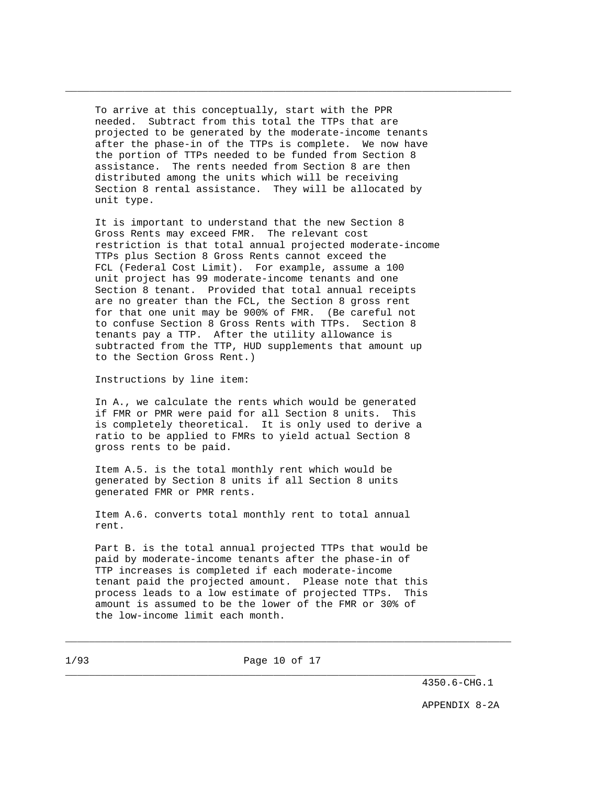To arrive at this conceptually, start with the PPR needed. Subtract from this total the TTPs that are projected to be generated by the moderate-income tenants after the phase-in of the TTPs is complete. We now have the portion of TTPs needed to be funded from Section 8 assistance. The rents needed from Section 8 are then distributed among the units which will be receiving Section 8 rental assistance. They will be allocated by unit type.

\_\_\_\_\_\_\_\_\_\_\_\_\_\_\_\_\_\_\_\_\_\_\_\_\_\_\_\_\_\_\_\_\_\_\_\_\_\_\_\_\_\_\_\_\_\_\_\_\_\_\_\_\_\_\_\_\_\_\_\_\_\_\_\_\_\_\_\_\_\_\_\_\_\_\_

 It is important to understand that the new Section 8 Gross Rents may exceed FMR. The relevant cost restriction is that total annual projected moderate-income TTPs plus Section 8 Gross Rents cannot exceed the FCL (Federal Cost Limit). For example, assume a 100 unit project has 99 moderate-income tenants and one Section 8 tenant. Provided that total annual receipts are no greater than the FCL, the Section 8 gross rent for that one unit may be 900% of FMR. (Be careful not to confuse Section 8 Gross Rents with TTPs. Section 8 tenants pay a TTP. After the utility allowance is subtracted from the TTP, HUD supplements that amount up to the Section Gross Rent.)

Instructions by line item:

 In A., we calculate the rents which would be generated if FMR or PMR were paid for all Section 8 units. This is completely theoretical. It is only used to derive a ratio to be applied to FMRs to yield actual Section 8 gross rents to be paid.

 Item A.5. is the total monthly rent which would be generated by Section 8 units if all Section 8 units generated FMR or PMR rents.

 Item A.6. converts total monthly rent to total annual rent.

 Part B. is the total annual projected TTPs that would be paid by moderate-income tenants after the phase-in of TTP increases is completed if each moderate-income tenant paid the projected amount. Please note that this process leads to a low estimate of projected TTPs. This amount is assumed to be the lower of the FMR or 30% of the low-income limit each month.

1/93 Page 10 of 17

\_\_\_\_\_\_\_\_\_\_\_\_\_\_\_\_\_\_\_\_\_\_\_\_\_\_\_\_\_\_\_\_\_\_\_\_\_\_\_\_\_\_\_\_\_\_\_\_\_\_\_\_\_\_\_\_\_\_\_\_\_\_\_\_\_\_\_\_\_

\_\_\_\_\_\_\_\_\_\_\_\_\_\_\_\_\_\_\_\_\_\_\_\_\_\_\_\_\_\_\_\_\_\_\_\_\_\_\_\_\_\_\_\_\_\_\_\_\_\_\_\_\_\_\_\_\_\_\_\_\_\_\_\_\_\_\_\_\_\_\_\_\_\_\_

4350.6-CHG.1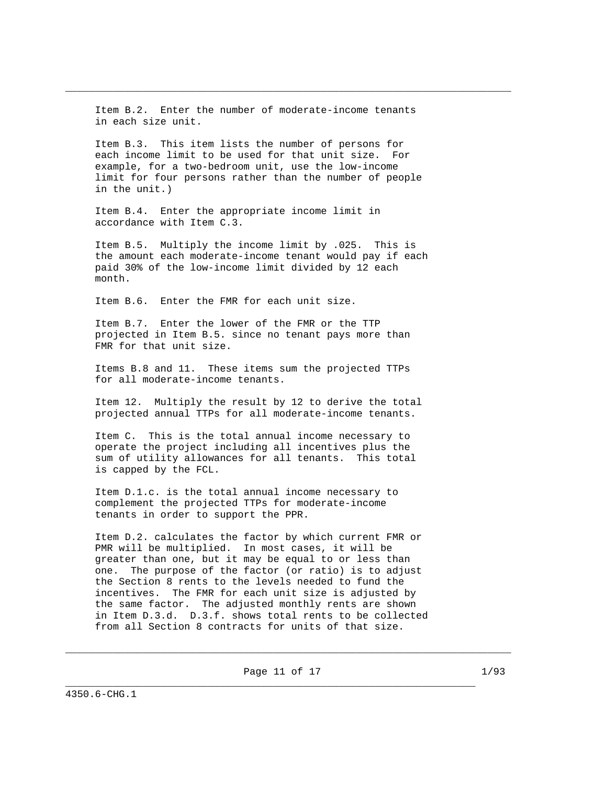Item B.2. Enter the number of moderate-income tenants in each size unit.

\_\_\_\_\_\_\_\_\_\_\_\_\_\_\_\_\_\_\_\_\_\_\_\_\_\_\_\_\_\_\_\_\_\_\_\_\_\_\_\_\_\_\_\_\_\_\_\_\_\_\_\_\_\_\_\_\_\_\_\_\_\_\_\_\_\_\_\_\_\_\_\_\_\_\_

 Item B.3. This item lists the number of persons for each income limit to be used for that unit size. For example, for a two-bedroom unit, use the low-income limit for four persons rather than the number of people in the unit.)

 Item B.4. Enter the appropriate income limit in accordance with Item C.3.

 Item B.5. Multiply the income limit by .025. This is the amount each moderate-income tenant would pay if each paid 30% of the low-income limit divided by 12 each month.

Item B.6. Enter the FMR for each unit size.

 Item B.7. Enter the lower of the FMR or the TTP projected in Item B.5. since no tenant pays more than FMR for that unit size.

 Items B.8 and 11. These items sum the projected TTPs for all moderate-income tenants.

 Item 12. Multiply the result by 12 to derive the total projected annual TTPs for all moderate-income tenants.

 Item C. This is the total annual income necessary to operate the project including all incentives plus the sum of utility allowances for all tenants. This total is capped by the FCL.

 Item D.1.c. is the total annual income necessary to complement the projected TTPs for moderate-income tenants in order to support the PPR.

 Item D.2. calculates the factor by which current FMR or PMR will be multiplied. In most cases, it will be greater than one, but it may be equal to or less than one. The purpose of the factor (or ratio) is to adjust the Section 8 rents to the levels needed to fund the incentives. The FMR for each unit size is adjusted by the same factor. The adjusted monthly rents are shown in Item D.3.d. D.3.f. shows total rents to be collected from all Section 8 contracts for units of that size.

Page 11 of 17 1/93

\_\_\_\_\_\_\_\_\_\_\_\_\_\_\_\_\_\_\_\_\_\_\_\_\_\_\_\_\_\_\_\_\_\_\_\_\_\_\_\_\_\_\_\_\_\_\_\_\_\_\_\_\_\_\_\_\_\_\_\_\_\_\_\_\_\_\_\_\_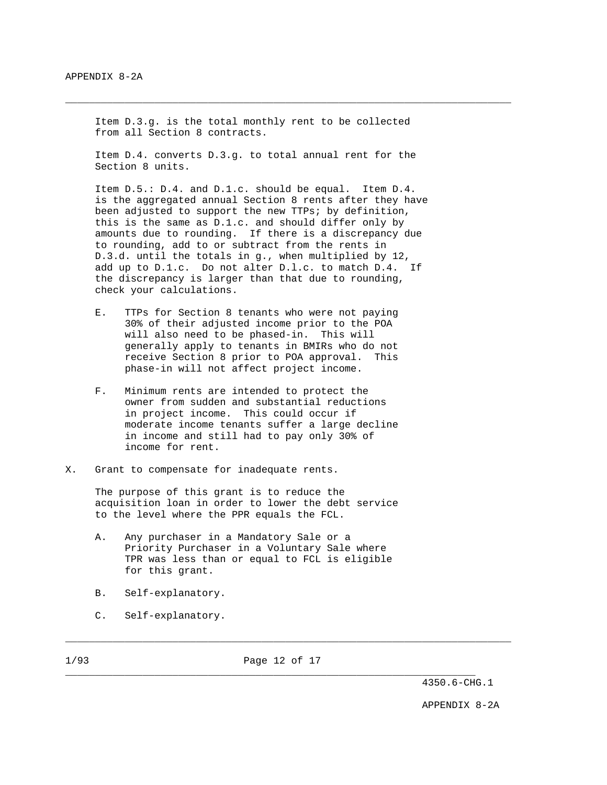Item D.3.g. is the total monthly rent to be collected from all Section 8 contracts.

\_\_\_\_\_\_\_\_\_\_\_\_\_\_\_\_\_\_\_\_\_\_\_\_\_\_\_\_\_\_\_\_\_\_\_\_\_\_\_\_\_\_\_\_\_\_\_\_\_\_\_\_\_\_\_\_\_\_\_\_\_\_\_\_\_\_\_\_\_\_\_\_\_\_\_

 Item D.4. converts D.3.g. to total annual rent for the Section 8 units.

 Item D.5.: D.4. and D.1.c. should be equal. Item D.4. is the aggregated annual Section 8 rents after they have been adjusted to support the new TTPs; by definition, this is the same as D.1.c. and should differ only by amounts due to rounding. If there is a discrepancy due to rounding, add to or subtract from the rents in D.3.d. until the totals in g., when multiplied by 12, add up to D.1.c. Do not alter D.l.c. to match D.4. If the discrepancy is larger than that due to rounding, check your calculations.

- E. TTPs for Section 8 tenants who were not paying 30% of their adjusted income prior to the POA will also need to be phased-in. This will generally apply to tenants in BMIRs who do not receive Section 8 prior to POA approval. This phase-in will not affect project income.
- F. Minimum rents are intended to protect the owner from sudden and substantial reductions in project income. This could occur if moderate income tenants suffer a large decline in income and still had to pay only 30% of income for rent.
- X. Grant to compensate for inadequate rents.

 The purpose of this grant is to reduce the acquisition loan in order to lower the debt service to the level where the PPR equals the FCL.

- A. Any purchaser in a Mandatory Sale or a Priority Purchaser in a Voluntary Sale where TPR was less than or equal to FCL is eligible for this grant.
- B. Self-explanatory.
- C. Self-explanatory.

1/93 Page 12 of 17

\_\_\_\_\_\_\_\_\_\_\_\_\_\_\_\_\_\_\_\_\_\_\_\_\_\_\_\_\_\_\_\_\_\_\_\_\_\_\_\_\_\_\_\_\_\_\_\_\_\_\_\_\_\_\_\_\_\_\_\_\_\_\_\_\_\_\_\_\_\_\_\_\_\_\_

4350.6-CHG.1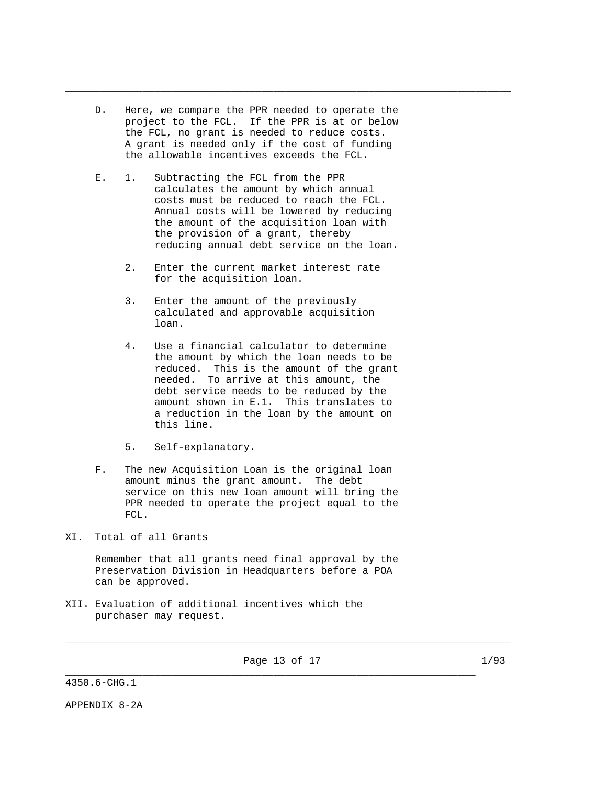D. Here, we compare the PPR needed to operate the project to the FCL. If the PPR is at or below the FCL, no grant is needed to reduce costs. A grant is needed only if the cost of funding the allowable incentives exceeds the FCL.

\_\_\_\_\_\_\_\_\_\_\_\_\_\_\_\_\_\_\_\_\_\_\_\_\_\_\_\_\_\_\_\_\_\_\_\_\_\_\_\_\_\_\_\_\_\_\_\_\_\_\_\_\_\_\_\_\_\_\_\_\_\_\_\_\_\_\_\_\_\_\_\_\_\_\_

- E. 1. Subtracting the FCL from the PPR calculates the amount by which annual costs must be reduced to reach the FCL. Annual costs will be lowered by reducing the amount of the acquisition loan with the provision of a grant, thereby reducing annual debt service on the loan.
	- 2. Enter the current market interest rate for the acquisition loan.
	- 3. Enter the amount of the previously calculated and approvable acquisition loan.
	- 4. Use a financial calculator to determine the amount by which the loan needs to be reduced. This is the amount of the grant needed. To arrive at this amount, the debt service needs to be reduced by the amount shown in E.1. This translates to a reduction in the loan by the amount on this line.
	- 5. Self-explanatory.
- F. The new Acquisition Loan is the original loan amount minus the grant amount. The debt service on this new loan amount will bring the PPR needed to operate the project equal to the FCL.

XI. Total of all Grants

 Remember that all grants need final approval by the Preservation Division in Headquarters before a POA can be approved.

XII. Evaluation of additional incentives which the purchaser may request.

Page 13 of 17 1/93

\_\_\_\_\_\_\_\_\_\_\_\_\_\_\_\_\_\_\_\_\_\_\_\_\_\_\_\_\_\_\_\_\_\_\_\_\_\_\_\_\_\_\_\_\_\_\_\_\_\_\_\_\_\_\_\_\_\_\_\_\_\_\_\_\_\_\_\_\_

\_\_\_\_\_\_\_\_\_\_\_\_\_\_\_\_\_\_\_\_\_\_\_\_\_\_\_\_\_\_\_\_\_\_\_\_\_\_\_\_\_\_\_\_\_\_\_\_\_\_\_\_\_\_\_\_\_\_\_\_\_\_\_\_\_\_\_\_\_\_\_\_\_\_\_

4350.6-CHG.1

APPENDIX 8-2A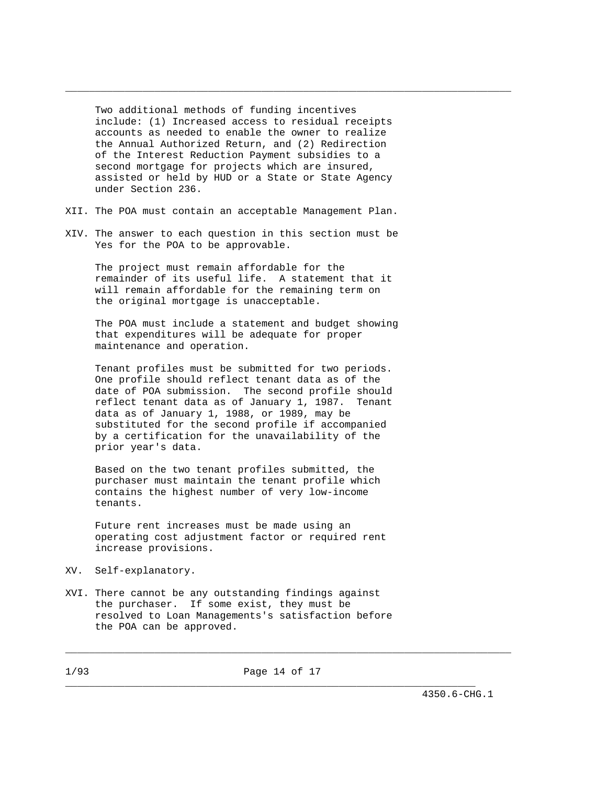Two additional methods of funding incentives include: (1) Increased access to residual receipts accounts as needed to enable the owner to realize the Annual Authorized Return, and (2) Redirection of the Interest Reduction Payment subsidies to a second mortgage for projects which are insured, assisted or held by HUD or a State or State Agency under Section 236.

\_\_\_\_\_\_\_\_\_\_\_\_\_\_\_\_\_\_\_\_\_\_\_\_\_\_\_\_\_\_\_\_\_\_\_\_\_\_\_\_\_\_\_\_\_\_\_\_\_\_\_\_\_\_\_\_\_\_\_\_\_\_\_\_\_\_\_\_\_\_\_\_\_\_\_

- XII. The POA must contain an acceptable Management Plan.
- XIV. The answer to each question in this section must be Yes for the POA to be approvable.

 The project must remain affordable for the remainder of its useful life. A statement that it will remain affordable for the remaining term on the original mortgage is unacceptable.

 The POA must include a statement and budget showing that expenditures will be adequate for proper maintenance and operation.

 Tenant profiles must be submitted for two periods. One profile should reflect tenant data as of the date of POA submission. The second profile should reflect tenant data as of January 1, 1987. Tenant data as of January 1, 1988, or 1989, may be substituted for the second profile if accompanied by a certification for the unavailability of the prior year's data.

 Based on the two tenant profiles submitted, the purchaser must maintain the tenant profile which contains the highest number of very low-income tenants.

 Future rent increases must be made using an operating cost adjustment factor or required rent increase provisions.

- XV. Self-explanatory.
- XVI. There cannot be any outstanding findings against the purchaser. If some exist, they must be resolved to Loan Managements's satisfaction before the POA can be approved.

\_\_\_\_\_\_\_\_\_\_\_\_\_\_\_\_\_\_\_\_\_\_\_\_\_\_\_\_\_\_\_\_\_\_\_\_\_\_\_\_\_\_\_\_\_\_\_\_\_\_\_\_\_\_\_\_\_\_\_\_\_\_\_\_\_\_\_\_\_\_\_\_\_\_\_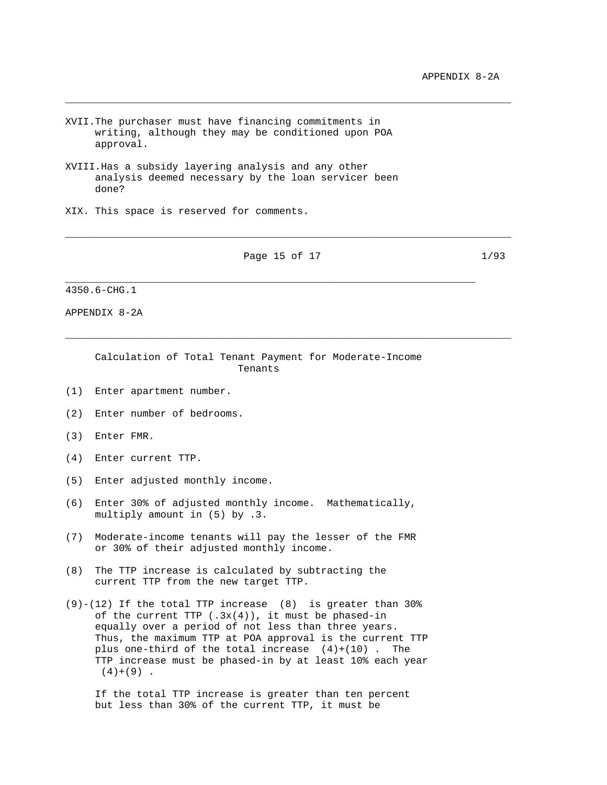- XVII.The purchaser must have financing commitments in writing, although they may be conditioned upon POA approval.
- XVIII.Has a subsidy layering analysis and any other analysis deemed necessary by the loan servicer been done?
- XIX. This space is reserved for comments.

Page 15 of 17 1/93

\_\_\_\_\_\_\_\_\_\_\_\_\_\_\_\_\_\_\_\_\_\_\_\_\_\_\_\_\_\_\_\_\_\_\_\_\_\_\_\_\_\_\_\_\_\_\_\_\_\_\_\_\_\_\_\_\_\_\_\_\_\_\_\_\_\_\_\_\_

\_\_\_\_\_\_\_\_\_\_\_\_\_\_\_\_\_\_\_\_\_\_\_\_\_\_\_\_\_\_\_\_\_\_\_\_\_\_\_\_\_\_\_\_\_\_\_\_\_\_\_\_\_\_\_\_\_\_\_\_\_\_\_\_\_\_\_\_\_\_\_\_\_\_\_

\_\_\_\_\_\_\_\_\_\_\_\_\_\_\_\_\_\_\_\_\_\_\_\_\_\_\_\_\_\_\_\_\_\_\_\_\_\_\_\_\_\_\_\_\_\_\_\_\_\_\_\_\_\_\_\_\_\_\_\_\_\_\_\_\_\_\_\_\_\_\_\_\_\_\_

\_\_\_\_\_\_\_\_\_\_\_\_\_\_\_\_\_\_\_\_\_\_\_\_\_\_\_\_\_\_\_\_\_\_\_\_\_\_\_\_\_\_\_\_\_\_\_\_\_\_\_\_\_\_\_\_\_\_\_\_\_\_\_\_\_\_\_\_\_\_\_\_\_\_\_

4350.6-CHG.1

APPENDIX 8-2A

 Calculation of Total Tenant Payment for Moderate-Income Tenants

- (1) Enter apartment number.
- (2) Enter number of bedrooms.
- (3) Enter FMR.
- (4) Enter current TTP.
- (5) Enter adjusted monthly income.
- (6) Enter 30% of adjusted monthly income. Mathematically, multiply amount in (5) by .3.
- (7) Moderate-income tenants will pay the lesser of the FMR or 30% of their adjusted monthly income.
- (8) The TTP increase is calculated by subtracting the current TTP from the new target TTP.
- $(9)-(12)$  If the total TTP increase  $(8)$  is greater than 30% of the current TTP  $(.3x(4))$ , it must be phased-in equally over a period of not less than three years. Thus, the maximum TTP at POA approval is the current TTP plus one-third of the total increase  $(4)+(10)$ . The TTP increase must be phased-in by at least 10% each year  $(4)+(9)$ .

 If the total TTP increase is greater than ten percent but less than 30% of the current TTP, it must be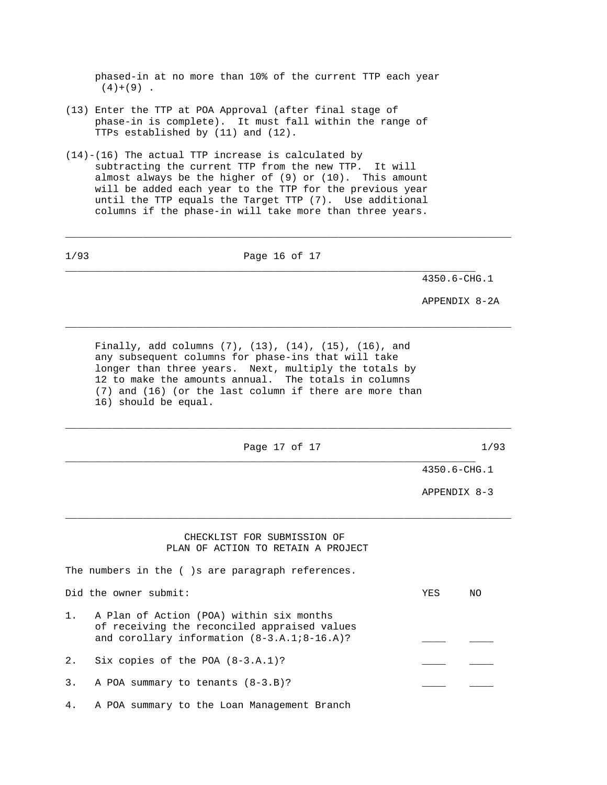phased-in at no more than 10% of the current TTP each year  $(4)+(9)$ .

- (13) Enter the TTP at POA Approval (after final stage of phase-in is complete). It must fall within the range of TTPs established by (11) and (12).
- (14)-(16) The actual TTP increase is calculated by subtracting the current TTP from the new TTP. It will almost always be the higher of (9) or (10). This amount will be added each year to the TTP for the previous year until the TTP equals the Target TTP (7). Use additional columns if the phase-in will take more than three years.

\_\_\_\_\_\_\_\_\_\_\_\_\_\_\_\_\_\_\_\_\_\_\_\_\_\_\_\_\_\_\_\_\_\_\_\_\_\_\_\_\_\_\_\_\_\_\_\_\_\_\_\_\_\_\_\_\_\_\_\_\_\_\_\_\_\_\_\_\_\_\_\_\_\_\_

1/93 Page 16 of 17 \_\_\_\_\_\_\_\_\_\_\_\_\_\_\_\_\_\_\_\_\_\_\_\_\_\_\_\_\_\_\_\_\_\_\_\_\_\_\_\_\_\_\_\_\_\_\_\_\_\_\_\_\_\_\_\_\_\_\_\_\_\_\_\_\_\_\_\_\_ 4350.6-CHG.1 APPENDIX 8-2A \_\_\_\_\_\_\_\_\_\_\_\_\_\_\_\_\_\_\_\_\_\_\_\_\_\_\_\_\_\_\_\_\_\_\_\_\_\_\_\_\_\_\_\_\_\_\_\_\_\_\_\_\_\_\_\_\_\_\_\_\_\_\_\_\_\_\_\_\_\_\_\_\_\_\_ Finally, add columns (7), (13), (14), (15), (16), and any subsequent columns for phase-ins that will take longer than three years. Next, multiply the totals by 12 to make the amounts annual. The totals in columns (7) and (16) (or the last column if there are more than 16) should be equal. \_\_\_\_\_\_\_\_\_\_\_\_\_\_\_\_\_\_\_\_\_\_\_\_\_\_\_\_\_\_\_\_\_\_\_\_\_\_\_\_\_\_\_\_\_\_\_\_\_\_\_\_\_\_\_\_\_\_\_\_\_\_\_\_\_\_\_\_\_\_\_\_\_\_\_ Page 17 of 17 1/93 \_\_\_\_\_\_\_\_\_\_\_\_\_\_\_\_\_\_\_\_\_\_\_\_\_\_\_\_\_\_\_\_\_\_\_\_\_\_\_\_\_\_\_\_\_\_\_\_\_\_\_\_\_\_\_\_\_\_\_\_\_\_\_\_\_\_\_\_\_ 4350.6-CHG.1 APPENDIX 8-3 \_\_\_\_\_\_\_\_\_\_\_\_\_\_\_\_\_\_\_\_\_\_\_\_\_\_\_\_\_\_\_\_\_\_\_\_\_\_\_\_\_\_\_\_\_\_\_\_\_\_\_\_\_\_\_\_\_\_\_\_\_\_\_\_\_\_\_\_\_\_\_\_\_\_\_ CHECKLIST FOR SUBMISSION OF PLAN OF ACTION TO RETAIN A PROJECT The numbers in the ( )s are paragraph references. Did the owner submit: YES NO 1. A Plan of Action (POA) within six months of receiving the reconciled appraised values and corollary information  $(8-3.A.1.18-16.A)?$ 2. Six copies of the POA (8-3.A.1)? 3. A POA summary to tenants  $(8-3.B)?$ 

4. A POA summary to the Loan Management Branch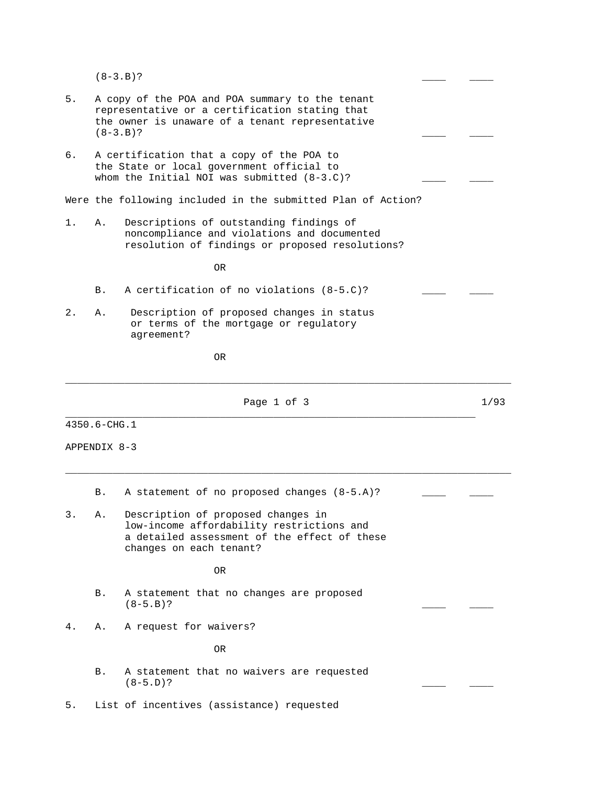$(8-3.B)?$ 

| 5.    | $(8-3.B)?$   | A copy of the POA and POA summary to the tenant<br>representative or a certification stating that<br>the owner is unaware of a tenant representative       |      |
|-------|--------------|------------------------------------------------------------------------------------------------------------------------------------------------------------|------|
| б.    |              | A certification that a copy of the POA to<br>the State or local government official to<br>whom the Initial NOI was submitted (8-3.C)?                      |      |
|       |              | Were the following included in the submitted Plan of Action?                                                                                               |      |
| 1.    | Α.           | Descriptions of outstanding findings of<br>noncompliance and violations and documented<br>resolution of findings or proposed resolutions?                  |      |
|       |              | 0R                                                                                                                                                         |      |
|       | В.           | A certification of no violations (8-5.C)?                                                                                                                  |      |
| $2$ . | Α.           | Description of proposed changes in status<br>or terms of the mortgage or regulatory<br>agreement?                                                          |      |
|       |              | 0R                                                                                                                                                         |      |
|       |              | Page 1 of 3                                                                                                                                                | 1/93 |
|       | 4350.6-CHG.1 |                                                                                                                                                            |      |
|       | APPENDIX 8-3 |                                                                                                                                                            |      |
|       | В.           | A statement of no proposed changes (8-5.A)?                                                                                                                |      |
| 3.    | Α.           | Description of proposed changes in<br>low-income affordability restrictions and<br>a detailed assessment of the effect of these<br>changes on each tenant? |      |
|       |              | <b>OR</b>                                                                                                                                                  |      |
|       | В.           | A statement that no changes are proposed<br>$(8-5.B)?$                                                                                                     |      |
| 4.    | Α.           | A request for waivers?                                                                                                                                     |      |
|       |              | 0R                                                                                                                                                         |      |
|       | Β.           | A statement that no waivers are requested<br>$(8-5.D)?$                                                                                                    |      |
| 5.    |              | List of incentives (assistance) requested                                                                                                                  |      |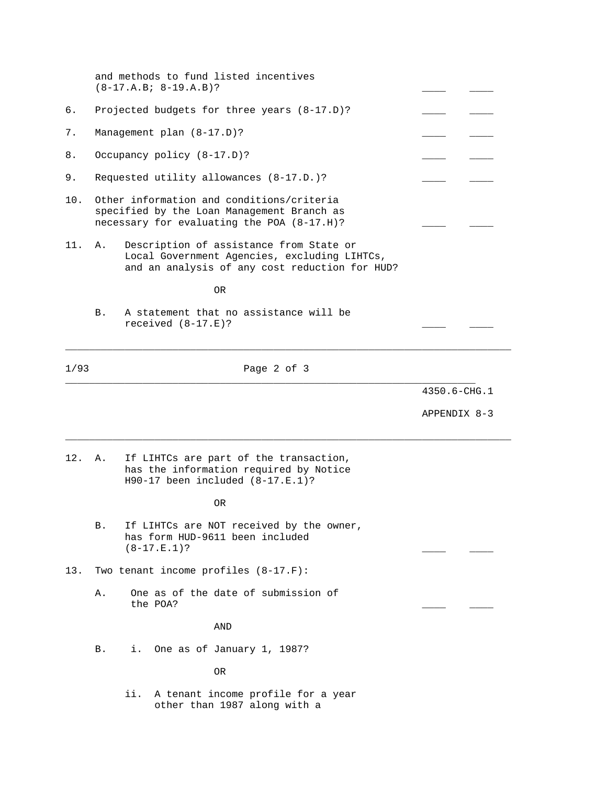|      | and methods to fund listed incentives<br>$(8-17.A.B.; 8-19.A.B)?$                                                                               |              |
|------|-------------------------------------------------------------------------------------------------------------------------------------------------|--------------|
| б.   | Projected budgets for three years (8-17.D)?                                                                                                     |              |
| 7.   | Management plan (8-17.D)?                                                                                                                       |              |
| 8.   | Occupancy policy (8-17.D)?                                                                                                                      |              |
| 9.   | Requested utility allowances (8-17.D.)?                                                                                                         |              |
| 10.  | Other information and conditions/criteria<br>specified by the Loan Management Branch as<br>necessary for evaluating the POA (8-17.H)?           |              |
| 11.  | Description of assistance from State or<br>Α.<br>Local Government Agencies, excluding LIHTCs,<br>and an analysis of any cost reduction for HUD? |              |
|      | 0R                                                                                                                                              |              |
|      | A statement that no assistance will be<br>Β.<br>received $(8-17.E)?$                                                                            |              |
| 1/93 | Page 2 of 3                                                                                                                                     |              |
|      |                                                                                                                                                 | 4350.6-CHG.1 |
|      |                                                                                                                                                 | APPENDIX 8-3 |
| 12.  | If LIHTCs are part of the transaction,<br>Α.<br>has the information required by Notice<br>$H90-17$ been included $(8-17.E.1)?$                  |              |
|      | 0R                                                                                                                                              |              |
|      | If LIHTCs are NOT received by the owner,<br>В.<br>has form HUD-9611 been included<br>$(8-17.E.1)?$                                              |              |
| 13.  | Two tenant income profiles $(8-17.F):$                                                                                                          |              |
|      | One as of the date of submission of<br>Α.<br>the POA?                                                                                           |              |
|      | AND                                                                                                                                             |              |
|      | One as of January 1, 1987?<br>Β.<br>i.                                                                                                          |              |
|      | 0R                                                                                                                                              |              |
|      | ii.<br>A tenant income profile for a year<br>other than 1987 along with a                                                                       |              |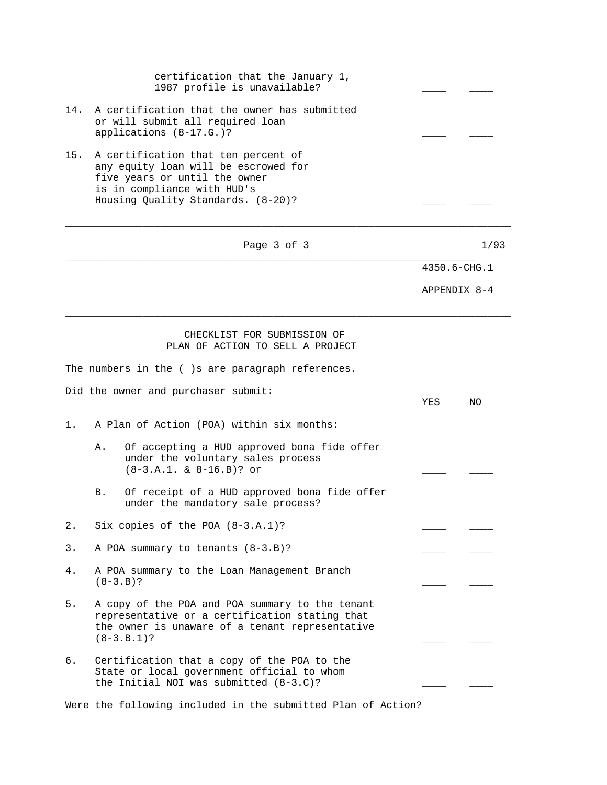|     | certification that the January 1,<br>1987 profile is unavailable?                                                                                                                 |     |              |
|-----|-----------------------------------------------------------------------------------------------------------------------------------------------------------------------------------|-----|--------------|
| 14. | A certification that the owner has submitted<br>or will submit all required loan<br>applications (8-17.G.)?                                                                       |     |              |
| 15. | A certification that ten percent of<br>any equity loan will be escrowed for<br>five years or until the owner<br>is in compliance with HUD's<br>Housing Quality Standards. (8-20)? |     |              |
|     | Page 3 of 3                                                                                                                                                                       |     | 1/93         |
|     |                                                                                                                                                                                   |     | 4350.6-CHG.1 |
|     |                                                                                                                                                                                   |     | APPENDIX 8-4 |
|     | CHECKLIST FOR SUBMISSION OF<br>PLAN OF ACTION TO SELL A PROJECT                                                                                                                   |     |              |
|     | The numbers in the ()s are paragraph references.                                                                                                                                  |     |              |
|     | Did the owner and purchaser submit:                                                                                                                                               | YES | NΟ           |
| 1.  | A Plan of Action (POA) within six months:                                                                                                                                         |     |              |
|     | Of accepting a HUD approved bona fide offer<br>Α.<br>under the voluntary sales process<br>$(8-3.A.1. & 8-16.B)?$ or                                                               |     |              |
|     | Of receipt of a HUD approved bona fide offer<br>B.<br>under the mandatory sale process?                                                                                           |     |              |
| 2.  | Six copies of the POA $(8-3.A.1)$ ?                                                                                                                                               |     |              |
| 3.  | A POA summary to tenants (8-3.B)?                                                                                                                                                 |     |              |
| 4.  | A POA summary to the Loan Management Branch<br>$(8-3.B)?$                                                                                                                         |     |              |
| 5.  | A copy of the POA and POA summary to the tenant<br>representative or a certification stating that<br>the owner is unaware of a tenant representative<br>$(8-3.B.1)?$              |     |              |
| б.  | Certification that a copy of the POA to the<br>State or local government official to whom<br>the Initial NOI was submitted (8-3.C)?                                               |     |              |
|     | Were the following included in the submitted Plan of Action?                                                                                                                      |     |              |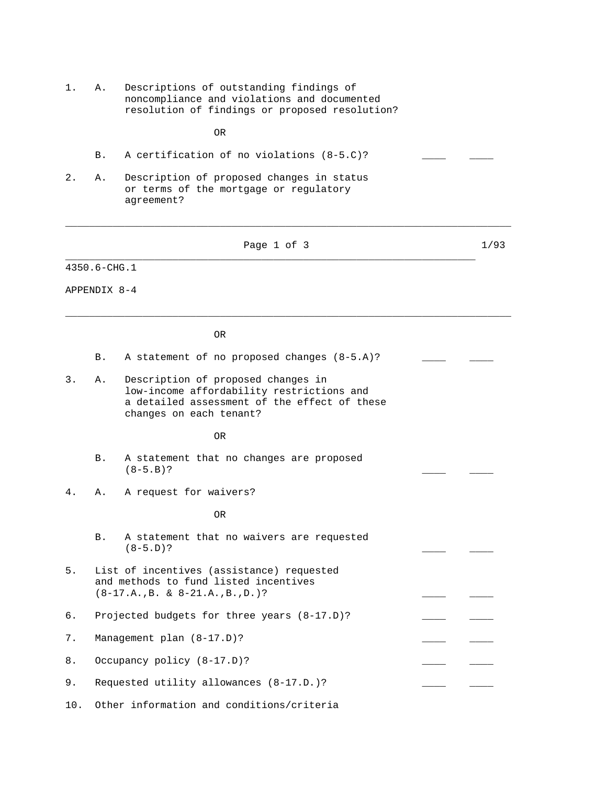- 1. A. Descriptions of outstanding findings of noncompliance and violations and documented resolution of findings or proposed resolution?
- OR

|  |  | A certification of no violations $(8-5.C)?$ |  |  |  |
|--|--|---------------------------------------------|--|--|--|
|--|--|---------------------------------------------|--|--|--|

2. A. Description of proposed changes in status or terms of the mortgage or regulatory agreement?

| Page 1 of 3 | 1/93 |
|-------------|------|
|-------------|------|

\_\_\_\_\_\_\_\_\_\_\_\_\_\_\_\_\_\_\_\_\_\_\_\_\_\_\_\_\_\_\_\_\_\_\_\_\_\_\_\_\_\_\_\_\_\_\_\_\_\_\_\_\_\_\_\_\_\_\_\_\_\_\_\_\_\_\_\_\_\_\_\_\_\_\_

\_\_\_\_\_\_\_\_\_\_\_\_\_\_\_\_\_\_\_\_\_\_\_\_\_\_\_\_\_\_\_\_\_\_\_\_\_\_\_\_\_\_\_\_\_\_\_\_\_\_\_\_\_\_\_\_\_\_\_\_\_\_\_\_\_\_\_\_\_\_\_\_\_\_\_

\_\_\_\_\_\_\_\_\_\_\_\_\_\_\_\_\_\_\_\_\_\_\_\_\_\_\_\_\_\_\_\_\_\_\_\_\_\_\_\_\_\_\_\_\_\_\_\_\_\_\_\_\_\_\_\_\_\_\_\_\_\_\_\_\_\_\_\_\_

4350.6-CHG.1

APPENDIX 8-4

OR

- B. A statement of no proposed changes (8-5.A)?
- 3. A. Description of proposed changes in low-income affordability restrictions and a detailed assessment of the effect of these changes on each tenant?

OR

- B. A statement that no changes are proposed  $(8-5.B)?$
- 4. A. A request for waivers?

OR

- B. A statement that no waivers are requested  $(8-5. D)?$
- 5. List of incentives (assistance) requested and methods to fund listed incentives  $(8-17.A., B. & 8-21.A., B., D.)$ ?
- 6. Projected budgets for three years (8-17.D)?
- 7. Management plan (8-17.D)?
- 8. Occupancy policy (8-17.D)?
- 9. Requested utility allowances (8-17.D.)?
- 10. Other information and conditions/criteria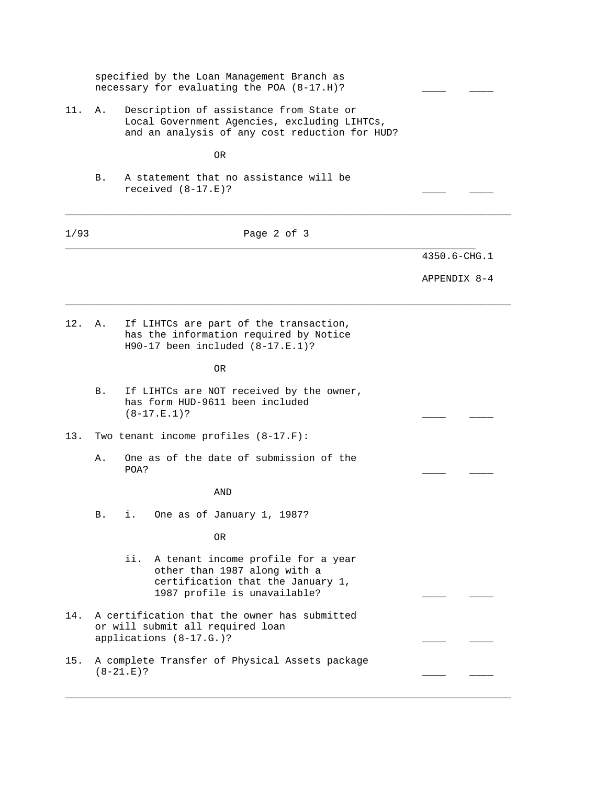|      |    | specified by the Loan Management Branch as<br>necessary for evaluating the POA (8-17.H)?                                                       |              |
|------|----|------------------------------------------------------------------------------------------------------------------------------------------------|--------------|
| 11.  | Α. | Description of assistance from State or<br>Local Government Agencies, excluding LIHTCs,<br>and an analysis of any cost reduction for HUD?      |              |
|      |    | 0R                                                                                                                                             |              |
|      | Β. | A statement that no assistance will be<br>received $(8-17.E)?$                                                                                 |              |
| 1/93 |    | Page 2 of 3                                                                                                                                    |              |
|      |    |                                                                                                                                                | 4350.6-CHG.1 |
|      |    |                                                                                                                                                | APPENDIX 8-4 |
| 12.  | Α. | If LIHTCs are part of the transaction,<br>has the information required by Notice<br>$H90-17$ been included $(8-17.E.1)$ ?                      |              |
|      |    | 0R                                                                                                                                             |              |
|      | Β. | If LIHTCs are NOT received by the owner,<br>has form HUD-9611 been included<br>$(8-17.E.1)?$                                                   |              |
| 13.  |    | Two tenant income profiles $(8-17.F):$                                                                                                         |              |
|      | Α. | One as of the date of submission of the<br>POA?                                                                                                |              |
|      |    | AND                                                                                                                                            |              |
|      | В. | One as of January 1, 1987?<br>i.                                                                                                               |              |
|      |    | 0R                                                                                                                                             |              |
|      |    | A tenant income profile for a year<br>ii.<br>other than 1987 along with a<br>certification that the January 1,<br>1987 profile is unavailable? |              |
| 14.  |    | A certification that the owner has submitted<br>or will submit all required loan<br>applications (8-17.G.)?                                    |              |
| 15.  |    | A complete Transfer of Physical Assets package<br>$(8-21.E)?$                                                                                  |              |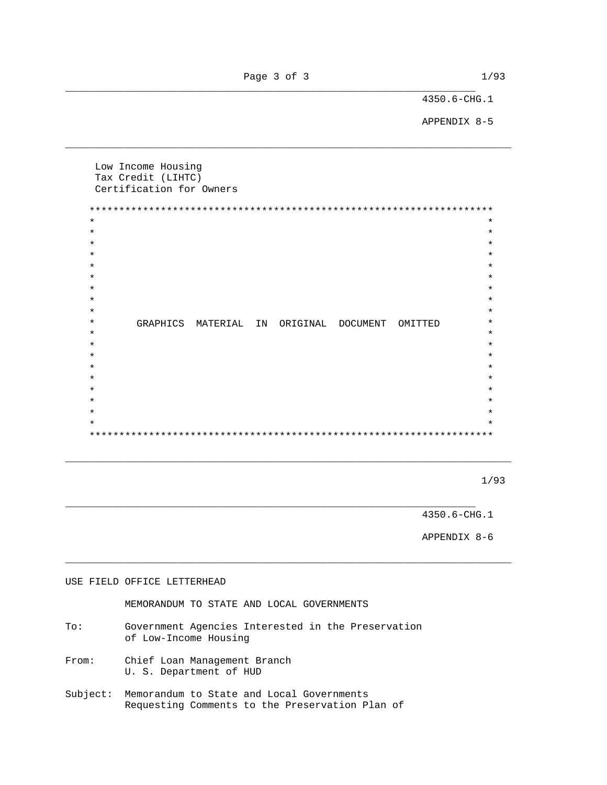Page 3 of 3 1/93 \_\_\_\_\_\_\_\_\_\_\_\_\_\_\_\_\_\_\_\_\_\_\_\_\_\_\_\_\_\_\_\_\_\_\_\_\_\_\_\_\_\_\_\_\_\_\_\_\_\_\_\_\_\_\_\_\_\_\_\_\_\_\_\_\_\_\_\_\_

\_\_\_\_\_\_\_\_\_\_\_\_\_\_\_\_\_\_\_\_\_\_\_\_\_\_\_\_\_\_\_\_\_\_\_\_\_\_\_\_\_\_\_\_\_\_\_\_\_\_\_\_\_\_\_\_\_\_\_\_\_\_\_\_\_\_\_\_\_\_\_\_\_\_\_

4350.6-CHG.1

APPENDIX 8-5

 Low Income Housing Tax Credit (LIHTC) Certification for Owners \*\*\*\*\*\*\*\*\*\*\*\*\*\*\*\*\*\*\*\*\*\*\*\*\*\*\*\*\*\*\*\*\*\*\*\*\*\*\*\*\*\*\*\*\*\*\*\*\*\*\*\*\*\*\*\*\*\*\*\*\*\*\*\*\*\*\*\*  $\star$  \*  $\star$   $\star$  $\star$  \*  $\star$  \*  $\star$  \*  $\star$  \*  $\star$   $\star$  $\star$  \*  $\star$  \* \* GRAPHICS MATERIAL IN ORIGINAL DOCUMENT OMITTED \*  $\star$  \*  $\star$  \*  $\star$  \*  $\star$  \*  $\star$  \*  $\star$  \*  $\star$  \*  $\star$  \*  $\star$  \* \*\*\*\*\*\*\*\*\*\*\*\*\*\*\*\*\*\*\*\*\*\*\*\*\*\*\*\*\*\*\*\*\*\*\*\*\*\*\*\*\*\*\*\*\*\*\*\*\*\*\*\*\*\*\*\*\*\*\*\*\*\*\*\*\*\*\*\*

\_\_\_\_\_\_\_\_\_\_\_\_\_\_\_\_\_\_\_\_\_\_\_\_\_\_\_\_\_\_\_\_\_\_\_\_\_\_\_\_\_\_\_\_\_\_\_\_\_\_\_\_\_\_\_\_\_\_\_\_\_\_\_\_\_\_\_\_\_\_\_\_\_\_\_

\_\_\_\_\_\_\_\_\_\_\_\_\_\_\_\_\_\_\_\_\_\_\_\_\_\_\_\_\_\_\_\_\_\_\_\_\_\_\_\_\_\_\_\_\_\_\_\_\_\_\_\_\_\_\_\_\_\_\_\_\_\_\_\_\_\_\_\_\_\_\_\_\_\_\_

\_\_\_\_\_\_\_\_\_\_\_\_\_\_\_\_\_\_\_\_\_\_\_\_\_\_\_\_\_\_\_\_\_\_\_\_\_\_\_\_\_\_\_\_\_\_\_\_\_\_\_\_\_\_\_\_\_\_\_\_\_\_\_\_\_\_\_\_\_

 $1/93$ 

4350.6-CHG.1

APPENDIX 8-6

# USE FIELD OFFICE LETTERHEAD MEMORANDUM TO STATE AND LOCAL GOVERNMENTS To: Government Agencies Interested in the Preservation of Low-Income Housing From: Chief Loan Management Branch U. S. Department of HUD Subject: Memorandum to State and Local Governments Requesting Comments to the Preservation Plan of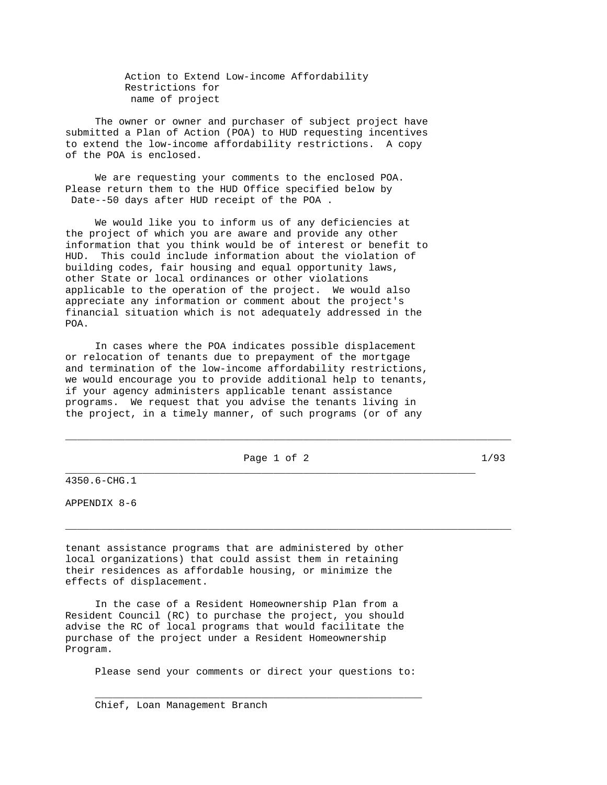Action to Extend Low-income Affordability Restrictions for name of project

 The owner or owner and purchaser of subject project have submitted a Plan of Action (POA) to HUD requesting incentives to extend the low-income affordability restrictions. A copy of the POA is enclosed.

 We are requesting your comments to the enclosed POA. Please return them to the HUD Office specified below by Date--50 days after HUD receipt of the POA .

 We would like you to inform us of any deficiencies at the project of which you are aware and provide any other information that you think would be of interest or benefit to HUD. This could include information about the violation of building codes, fair housing and equal opportunity laws, other State or local ordinances or other violations applicable to the operation of the project. We would also appreciate any information or comment about the project's financial situation which is not adequately addressed in the POA.

 In cases where the POA indicates possible displacement or relocation of tenants due to prepayment of the mortgage and termination of the low-income affordability restrictions, we would encourage you to provide additional help to tenants, if your agency administers applicable tenant assistance programs. We request that you advise the tenants living in the project, in a timely manner, of such programs (or of any

Page 1 of 2 1/93 \_\_\_\_\_\_\_\_\_\_\_\_\_\_\_\_\_\_\_\_\_\_\_\_\_\_\_\_\_\_\_\_\_\_\_\_\_\_\_\_\_\_\_\_\_\_\_\_\_\_\_\_\_\_\_\_\_\_\_\_\_\_\_\_\_\_\_\_\_

\_\_\_\_\_\_\_\_\_\_\_\_\_\_\_\_\_\_\_\_\_\_\_\_\_\_\_\_\_\_\_\_\_\_\_\_\_\_\_\_\_\_\_\_\_\_\_\_\_\_\_\_\_\_\_\_\_\_\_\_\_\_\_\_\_\_\_\_\_\_\_\_\_\_\_

\_\_\_\_\_\_\_\_\_\_\_\_\_\_\_\_\_\_\_\_\_\_\_\_\_\_\_\_\_\_\_\_\_\_\_\_\_\_\_\_\_\_\_\_\_\_\_\_\_\_\_\_\_\_\_\_\_\_\_\_\_\_\_\_\_\_\_\_\_\_\_\_\_\_\_

4350.6-CHG.1

APPENDIX 8-6

tenant assistance programs that are administered by other local organizations) that could assist them in retaining their residences as affordable housing, or minimize the effects of displacement.

 In the case of a Resident Homeownership Plan from a Resident Council (RC) to purchase the project, you should advise the RC of local programs that would facilitate the purchase of the project under a Resident Homeownership Program.

Please send your comments or direct your questions to:

 $\mathcal{L}_\text{max} = \mathcal{L}_\text{max} = \mathcal{L}_\text{max} = \mathcal{L}_\text{max} = \mathcal{L}_\text{max} = \mathcal{L}_\text{max} = \mathcal{L}_\text{max} = \mathcal{L}_\text{max} = \mathcal{L}_\text{max} = \mathcal{L}_\text{max} = \mathcal{L}_\text{max} = \mathcal{L}_\text{max} = \mathcal{L}_\text{max} = \mathcal{L}_\text{max} = \mathcal{L}_\text{max} = \mathcal{L}_\text{max} = \mathcal{L}_\text{max} = \mathcal{L}_\text{max} = \mathcal{$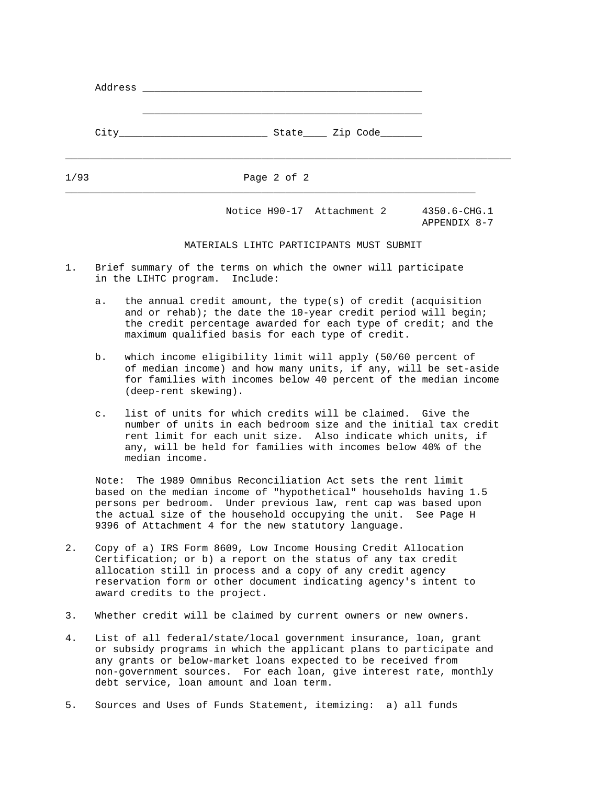| Address |                                                                |
|---------|----------------------------------------------------------------|
| City    | State______ Zip Code_________                                  |
| 1/93    | Page 2 of 2                                                    |
|         | Notice H90-17 Attachment 2<br>$4350.6 - CHG.1$<br>APPENDIX 8-7 |

### MATERIALS LIHTC PARTICIPANTS MUST SUBMIT

- 1. Brief summary of the terms on which the owner will participate in the LIHTC program. Include:
	- a. the annual credit amount, the type(s) of credit (acquisition and or rehab); the date the 10-year credit period will begin; the credit percentage awarded for each type of credit; and the maximum qualified basis for each type of credit.
	- b. which income eligibility limit will apply (50/60 percent of of median income) and how many units, if any, will be set-aside for families with incomes below 40 percent of the median income (deep-rent skewing).
	- c. list of units for which credits will be claimed. Give the number of units in each bedroom size and the initial tax credit rent limit for each unit size. Also indicate which units, if any, will be held for families with incomes below 40% of the median income.

 Note: The 1989 Omnibus Reconciliation Act sets the rent limit based on the median income of "hypothetical" households having 1.5 persons per bedroom. Under previous law, rent cap was based upon the actual size of the household occupying the unit. See Page H 9396 of Attachment 4 for the new statutory language.

- 2. Copy of a) IRS Form 8609, Low Income Housing Credit Allocation Certification; or b) a report on the status of any tax credit allocation still in process and a copy of any credit agency reservation form or other document indicating agency's intent to award credits to the project.
- 3. Whether credit will be claimed by current owners or new owners.
- 4. List of all federal/state/local government insurance, loan, grant or subsidy programs in which the applicant plans to participate and any grants or below-market loans expected to be received from non-government sources. For each loan, give interest rate, monthly debt service, loan amount and loan term.
- 5. Sources and Uses of Funds Statement, itemizing: a) all funds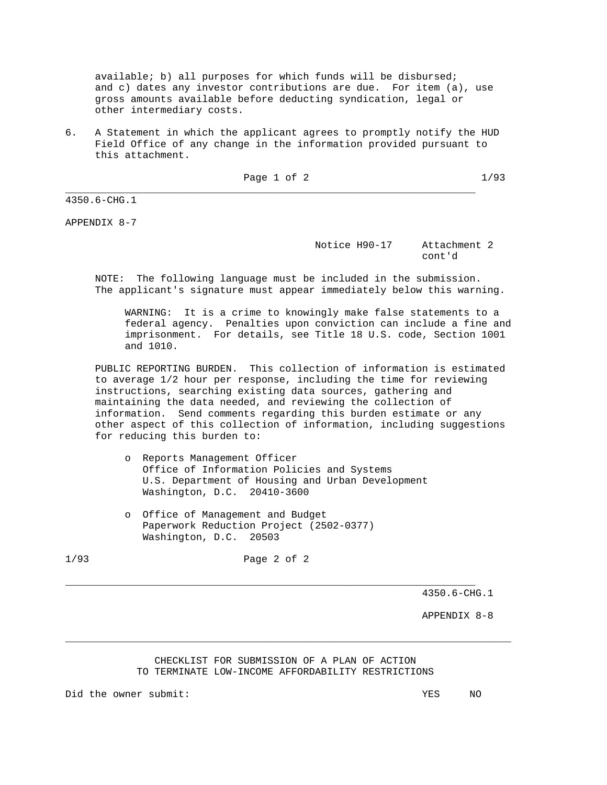available; b) all purposes for which funds will be disbursed; and c) dates any investor contributions are due. For item (a), use gross amounts available before deducting syndication, legal or other intermediary costs.

6. A Statement in which the applicant agrees to promptly notify the HUD Field Office of any change in the information provided pursuant to this attachment.

\_\_\_\_\_\_\_\_\_\_\_\_\_\_\_\_\_\_\_\_\_\_\_\_\_\_\_\_\_\_\_\_\_\_\_\_\_\_\_\_\_\_\_\_\_\_\_\_\_\_\_\_\_\_\_\_\_\_\_\_\_\_\_\_\_\_\_\_\_

Page 1 of 2 
$$
1/93
$$

4350.6-CHG.1

APPENDIX 8-7

# Notice H90-17 Attachment 2 cont'd control of the control of the control of the control of the control of the control of the control of the control of the control of the control of the control of the control of the control of the control of the contr

 NOTE: The following language must be included in the submission. The applicant's signature must appear immediately below this warning.

 WARNING: It is a crime to knowingly make false statements to a federal agency. Penalties upon conviction can include a fine and imprisonment. For details, see Title 18 U.S. code, Section 1001 and 1010.

 PUBLIC REPORTING BURDEN. This collection of information is estimated to average 1/2 hour per response, including the time for reviewing instructions, searching existing data sources, gathering and maintaining the data needed, and reviewing the collection of information. Send comments regarding this burden estimate or any other aspect of this collection of information, including suggestions for reducing this burden to:

- o Reports Management Officer Office of Information Policies and Systems U.S. Department of Housing and Urban Development Washington, D.C. 20410-3600
- o Office of Management and Budget Paperwork Reduction Project (2502-0377) Washington, D.C. 20503

1/93 Page 2 of 2

\_\_\_\_\_\_\_\_\_\_\_\_\_\_\_\_\_\_\_\_\_\_\_\_\_\_\_\_\_\_\_\_\_\_\_\_\_\_\_\_\_\_\_\_\_\_\_\_\_\_\_\_\_\_\_\_\_\_\_\_\_\_\_\_\_\_\_\_\_

4350.6-CHG.1

APPENDIX 8-8

# CHECKLIST FOR SUBMISSION OF A PLAN OF ACTION TO TERMINATE LOW-INCOME AFFORDABILITY RESTRICTIONS

\_\_\_\_\_\_\_\_\_\_\_\_\_\_\_\_\_\_\_\_\_\_\_\_\_\_\_\_\_\_\_\_\_\_\_\_\_\_\_\_\_\_\_\_\_\_\_\_\_\_\_\_\_\_\_\_\_\_\_\_\_\_\_\_\_\_\_\_\_\_\_\_\_\_\_

Did the owner submit: YES NO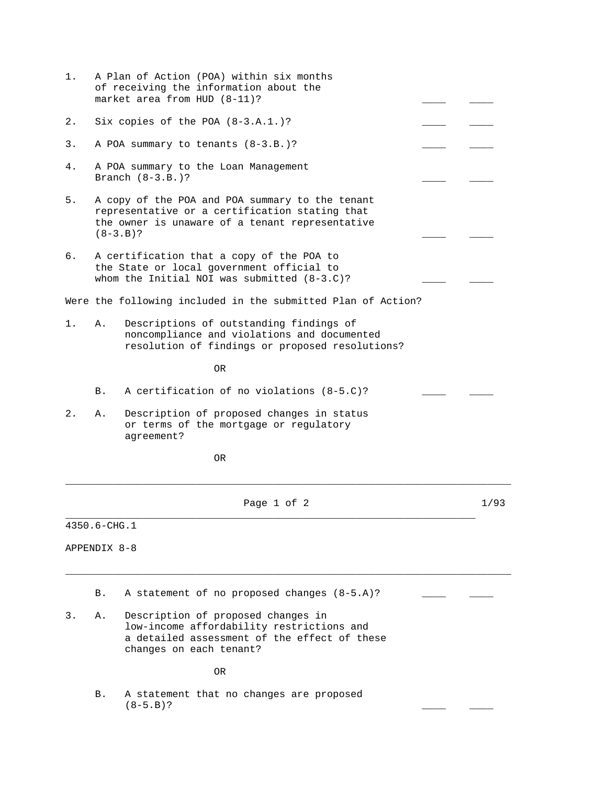| 1. |                                                                                                                                                                    | A Plan of Action (POA) within six months<br>of receiving the information about the<br>market area from HUD (8-11)?                                         |  |      |  |
|----|--------------------------------------------------------------------------------------------------------------------------------------------------------------------|------------------------------------------------------------------------------------------------------------------------------------------------------------|--|------|--|
| 2. |                                                                                                                                                                    | Six copies of the POA $(8-3.A.1.)$ ?                                                                                                                       |  |      |  |
| 3. | A POA summary to tenants (8-3.B.)?                                                                                                                                 |                                                                                                                                                            |  |      |  |
| 4. | A POA summary to the Loan Management<br>Branch $(8-3.B.)$ ?                                                                                                        |                                                                                                                                                            |  |      |  |
| 5. | A copy of the POA and POA summary to the tenant<br>representative or a certification stating that<br>the owner is unaware of a tenant representative<br>$(8-3.B)?$ |                                                                                                                                                            |  |      |  |
| б. | A certification that a copy of the POA to<br>the State or local government official to<br>whom the Initial NOI was submitted $(8-3.C)?$                            |                                                                                                                                                            |  |      |  |
|    |                                                                                                                                                                    | Were the following included in the submitted Plan of Action?                                                                                               |  |      |  |
| 1. | Α.                                                                                                                                                                 | Descriptions of outstanding findings of<br>noncompliance and violations and documented<br>resolution of findings or proposed resolutions?                  |  |      |  |
|    |                                                                                                                                                                    | 0R                                                                                                                                                         |  |      |  |
|    | B.                                                                                                                                                                 | A certification of no violations (8-5.C)?                                                                                                                  |  |      |  |
| 2. | Α.                                                                                                                                                                 | Description of proposed changes in status<br>or terms of the mortgage or regulatory<br>agreement?                                                          |  |      |  |
|    |                                                                                                                                                                    | 0R                                                                                                                                                         |  |      |  |
|    |                                                                                                                                                                    | Page 1 of 2                                                                                                                                                |  | 1/93 |  |
|    | 4350.6-CHG.1                                                                                                                                                       |                                                                                                                                                            |  |      |  |
|    | APPENDIX 8-8                                                                                                                                                       |                                                                                                                                                            |  |      |  |
|    | Β.                                                                                                                                                                 | A statement of no proposed changes (8-5.A)?                                                                                                                |  |      |  |
| 3. | Α.                                                                                                                                                                 | Description of proposed changes in<br>low-income affordability restrictions and<br>a detailed assessment of the effect of these<br>changes on each tenant? |  |      |  |
|    |                                                                                                                                                                    | OR.                                                                                                                                                        |  |      |  |
|    | В.                                                                                                                                                                 | A statement that no changes are proposed<br>$(8-5.B)?$                                                                                                     |  |      |  |
|    |                                                                                                                                                                    |                                                                                                                                                            |  |      |  |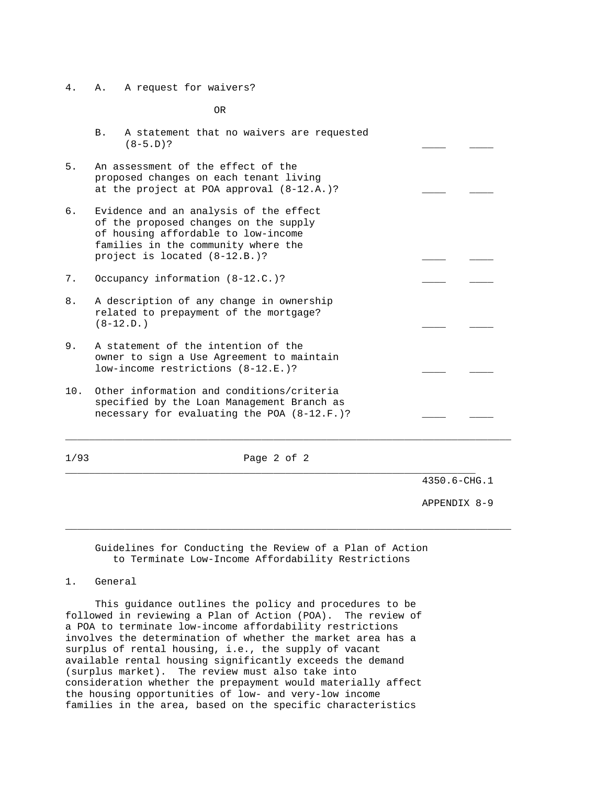4. A. A request for waivers?

OR

- B. A statement that no waivers are requested  $(8-5. D)?$
- 5. An assessment of the effect of the proposed changes on each tenant living at the project at POA approval  $(8-12.A.)$ ?
- 6. Evidence and an analysis of the effect of the proposed changes on the supply of housing affordable to low-income families in the community where the project is located (8-12.B.)?
- 7. Occupancy information (8-12.C.)?
- 8. A description of any change in ownership related to prepayment of the mortgage?  $(8-12.D.)$
- 9. A statement of the intention of the owner to sign a Use Agreement to maintain low-income restrictions (8-12.E.)?
- 10. Other information and conditions/criteria specified by the Loan Management Branch as necessary for evaluating the POA  $(8-12.F. )$ ?

1/93 Page 2 of 2

\_\_\_\_\_\_\_\_\_\_\_\_\_\_\_\_\_\_\_\_\_\_\_\_\_\_\_\_\_\_\_\_\_\_\_\_\_\_\_\_\_\_\_\_\_\_\_\_\_\_\_\_\_\_\_\_\_\_\_\_\_\_\_\_\_\_\_\_\_\_\_\_\_\_\_

\_\_\_\_\_\_\_\_\_\_\_\_\_\_\_\_\_\_\_\_\_\_\_\_\_\_\_\_\_\_\_\_\_\_\_\_\_\_\_\_\_\_\_\_\_\_\_\_\_\_\_\_\_\_\_\_\_\_\_\_\_\_\_\_\_\_\_\_\_\_\_\_\_\_\_

\_\_\_\_\_\_\_\_\_\_\_\_\_\_\_\_\_\_\_\_\_\_\_\_\_\_\_\_\_\_\_\_\_\_\_\_\_\_\_\_\_\_\_\_\_\_\_\_\_\_\_\_\_\_\_\_\_\_\_\_\_\_\_\_\_\_\_\_\_ 4350.6-CHG.1

APPENDIX 8-9

 Guidelines for Conducting the Review of a Plan of Action to Terminate Low-Income Affordability Restrictions

1. General

 This guidance outlines the policy and procedures to be followed in reviewing a Plan of Action (POA). The review of a POA to terminate low-income affordability restrictions involves the determination of whether the market area has a surplus of rental housing, i.e., the supply of vacant available rental housing significantly exceeds the demand (surplus market). The review must also take into consideration whether the prepayment would materially affect the housing opportunities of low- and very-low income families in the area, based on the specific characteristics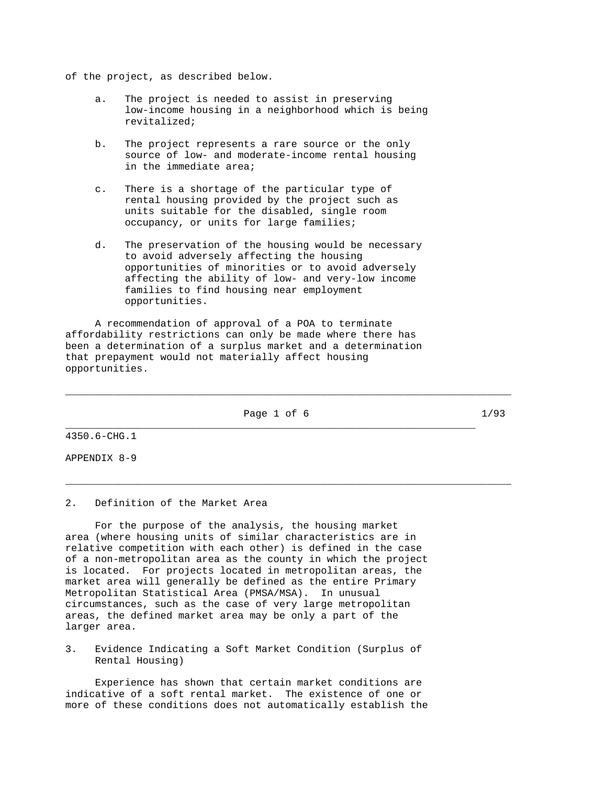of the project, as described below.

- a. The project is needed to assist in preserving low-income housing in a neighborhood which is being revitalized;
- b. The project represents a rare source or the only source of low- and moderate-income rental housing in the immediate area;
- c. There is a shortage of the particular type of rental housing provided by the project such as units suitable for the disabled, single room occupancy, or units for large families;
- d. The preservation of the housing would be necessary to avoid adversely affecting the housing opportunities of minorities or to avoid adversely affecting the ability of low- and very-low income families to find housing near employment opportunities.

 A recommendation of approval of a POA to terminate affordability restrictions can only be made where there has been a determination of a surplus market and a determination that prepayment would not materially affect housing opportunities.

Page 1 of 6 1/93 \_\_\_\_\_\_\_\_\_\_\_\_\_\_\_\_\_\_\_\_\_\_\_\_\_\_\_\_\_\_\_\_\_\_\_\_\_\_\_\_\_\_\_\_\_\_\_\_\_\_\_\_\_\_\_\_\_\_\_\_\_\_\_\_\_\_\_\_\_

\_\_\_\_\_\_\_\_\_\_\_\_\_\_\_\_\_\_\_\_\_\_\_\_\_\_\_\_\_\_\_\_\_\_\_\_\_\_\_\_\_\_\_\_\_\_\_\_\_\_\_\_\_\_\_\_\_\_\_\_\_\_\_\_\_\_\_\_\_\_\_\_\_\_\_

\_\_\_\_\_\_\_\_\_\_\_\_\_\_\_\_\_\_\_\_\_\_\_\_\_\_\_\_\_\_\_\_\_\_\_\_\_\_\_\_\_\_\_\_\_\_\_\_\_\_\_\_\_\_\_\_\_\_\_\_\_\_\_\_\_\_\_\_\_\_\_\_\_\_\_

4350.6-CHG.1

APPENDIX 8-9

# 2. Definition of the Market Area

 For the purpose of the analysis, the housing market area (where housing units of similar characteristics are in relative competition with each other) is defined in the case of a non-metropolitan area as the county in which the project is located. For projects located in metropolitan areas, the market area will generally be defined as the entire Primary Metropolitan Statistical Area (PMSA/MSA). In unusual circumstances, such as the case of very large metropolitan areas, the defined market area may be only a part of the larger area.

3. Evidence Indicating a Soft Market Condition (Surplus of Rental Housing)

 Experience has shown that certain market conditions are indicative of a soft rental market. The existence of one or more of these conditions does not automatically establish the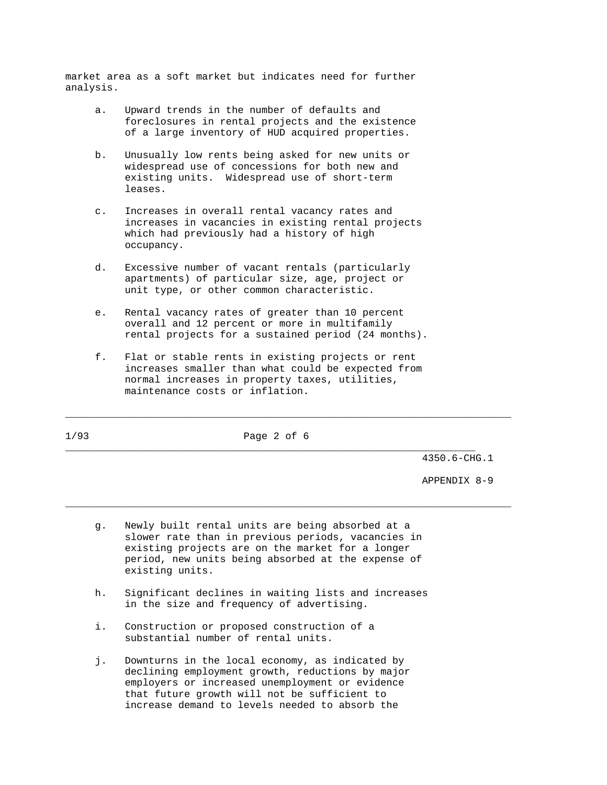market area as a soft market but indicates need for further analysis.

- a. Upward trends in the number of defaults and foreclosures in rental projects and the existence of a large inventory of HUD acquired properties.
- b. Unusually low rents being asked for new units or widespread use of concessions for both new and existing units. Widespread use of short-term leases.
- c. Increases in overall rental vacancy rates and increases in vacancies in existing rental projects which had previously had a history of high occupancy.
- d. Excessive number of vacant rentals (particularly apartments) of particular size, age, project or unit type, or other common characteristic.
- e. Rental vacancy rates of greater than 10 percent overall and 12 percent or more in multifamily rental projects for a sustained period (24 months).
- f. Flat or stable rents in existing projects or rent increases smaller than what could be expected from normal increases in property taxes, utilities, maintenance costs or inflation.

1/93 Page 2 of 6

\_\_\_\_\_\_\_\_\_\_\_\_\_\_\_\_\_\_\_\_\_\_\_\_\_\_\_\_\_\_\_\_\_\_\_\_\_\_\_\_\_\_\_\_\_\_\_\_\_\_\_\_\_\_\_\_\_\_\_\_\_\_\_\_\_\_\_\_\_\_\_\_\_\_\_

\_\_\_\_\_\_\_\_\_\_\_\_\_\_\_\_\_\_\_\_\_\_\_\_\_\_\_\_\_\_\_\_\_\_\_\_\_\_\_\_\_\_\_\_\_\_\_\_\_\_\_\_\_\_\_\_\_\_\_\_\_\_\_\_\_\_\_\_\_\_\_\_\_\_\_

\_\_\_\_\_\_\_\_\_\_\_\_\_\_\_\_\_\_\_\_\_\_\_\_\_\_\_\_\_\_\_\_\_\_\_\_\_\_\_\_\_\_\_\_\_\_\_\_\_\_\_\_\_\_\_\_\_\_\_\_\_\_\_\_\_\_\_\_\_ 4350.6-CHG.1

APPENDIX 8-9

- g. Newly built rental units are being absorbed at a slower rate than in previous periods, vacancies in existing projects are on the market for a longer period, new units being absorbed at the expense of existing units.
- h. Significant declines in waiting lists and increases in the size and frequency of advertising.
- i. Construction or proposed construction of a substantial number of rental units.
- j. Downturns in the local economy, as indicated by declining employment growth, reductions by major employers or increased unemployment or evidence that future growth will not be sufficient to increase demand to levels needed to absorb the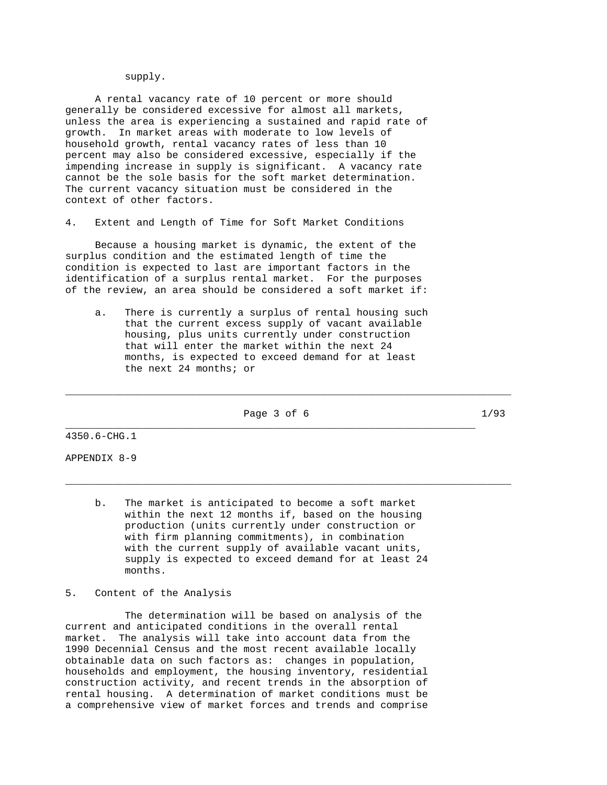# supply.

 A rental vacancy rate of 10 percent or more should generally be considered excessive for almost all markets, unless the area is experiencing a sustained and rapid rate of growth. In market areas with moderate to low levels of household growth, rental vacancy rates of less than 10 percent may also be considered excessive, especially if the impending increase in supply is significant. A vacancy rate cannot be the sole basis for the soft market determination. The current vacancy situation must be considered in the context of other factors.

4. Extent and Length of Time for Soft Market Conditions

 Because a housing market is dynamic, the extent of the surplus condition and the estimated length of time the condition is expected to last are important factors in the identification of a surplus rental market. For the purposes of the review, an area should be considered a soft market if:

 a. There is currently a surplus of rental housing such that the current excess supply of vacant available housing, plus units currently under construction that will enter the market within the next 24 months, is expected to exceed demand for at least the next 24 months; or

Page 3 of 6 1/93 \_\_\_\_\_\_\_\_\_\_\_\_\_\_\_\_\_\_\_\_\_\_\_\_\_\_\_\_\_\_\_\_\_\_\_\_\_\_\_\_\_\_\_\_\_\_\_\_\_\_\_\_\_\_\_\_\_\_\_\_\_\_\_\_\_\_\_\_\_

\_\_\_\_\_\_\_\_\_\_\_\_\_\_\_\_\_\_\_\_\_\_\_\_\_\_\_\_\_\_\_\_\_\_\_\_\_\_\_\_\_\_\_\_\_\_\_\_\_\_\_\_\_\_\_\_\_\_\_\_\_\_\_\_\_\_\_\_\_\_\_\_\_\_\_

\_\_\_\_\_\_\_\_\_\_\_\_\_\_\_\_\_\_\_\_\_\_\_\_\_\_\_\_\_\_\_\_\_\_\_\_\_\_\_\_\_\_\_\_\_\_\_\_\_\_\_\_\_\_\_\_\_\_\_\_\_\_\_\_\_\_\_\_\_\_\_\_\_\_\_

4350.6-CHG.1

APPENDIX 8-9

 b. The market is anticipated to become a soft market within the next 12 months if, based on the housing production (units currently under construction or with firm planning commitments), in combination with the current supply of available vacant units, supply is expected to exceed demand for at least 24 months.

5. Content of the Analysis

 The determination will be based on analysis of the current and anticipated conditions in the overall rental market. The analysis will take into account data from the 1990 Decennial Census and the most recent available locally obtainable data on such factors as: changes in population, households and employment, the housing inventory, residential construction activity, and recent trends in the absorption of rental housing. A determination of market conditions must be a comprehensive view of market forces and trends and comprise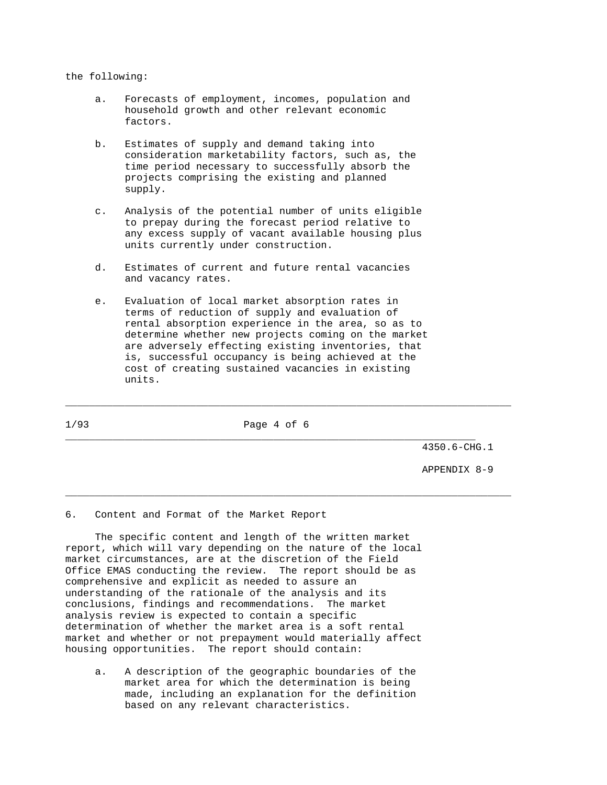# the following:

- a. Forecasts of employment, incomes, population and household growth and other relevant economic factors.
- b. Estimates of supply and demand taking into consideration marketability factors, such as, the time period necessary to successfully absorb the projects comprising the existing and planned supply.
- c. Analysis of the potential number of units eligible to prepay during the forecast period relative to any excess supply of vacant available housing plus units currently under construction.
- d. Estimates of current and future rental vacancies and vacancy rates.
- e. Evaluation of local market absorption rates in terms of reduction of supply and evaluation of rental absorption experience in the area, so as to determine whether new projects coming on the market are adversely effecting existing inventories, that is, successful occupancy is being achieved at the cost of creating sustained vacancies in existing units.

1/93 Page 4 of 6 \_\_\_\_\_\_\_\_\_\_\_\_\_\_\_\_\_\_\_\_\_\_\_\_\_\_\_\_\_\_\_\_\_\_\_\_\_\_\_\_\_\_\_\_\_\_\_\_\_\_\_\_\_\_\_\_\_\_\_\_\_\_\_\_\_\_\_\_\_

\_\_\_\_\_\_\_\_\_\_\_\_\_\_\_\_\_\_\_\_\_\_\_\_\_\_\_\_\_\_\_\_\_\_\_\_\_\_\_\_\_\_\_\_\_\_\_\_\_\_\_\_\_\_\_\_\_\_\_\_\_\_\_\_\_\_\_\_\_\_\_\_\_\_\_

\_\_\_\_\_\_\_\_\_\_\_\_\_\_\_\_\_\_\_\_\_\_\_\_\_\_\_\_\_\_\_\_\_\_\_\_\_\_\_\_\_\_\_\_\_\_\_\_\_\_\_\_\_\_\_\_\_\_\_\_\_\_\_\_\_\_\_\_\_\_\_\_\_\_\_

4350.6-CHG.1

APPENDIX 8-9

6. Content and Format of the Market Report

 The specific content and length of the written market report, which will vary depending on the nature of the local market circumstances, are at the discretion of the Field Office EMAS conducting the review. The report should be as comprehensive and explicit as needed to assure an understanding of the rationale of the analysis and its conclusions, findings and recommendations. The market analysis review is expected to contain a specific determination of whether the market area is a soft rental market and whether or not prepayment would materially affect housing opportunities. The report should contain:

 a. A description of the geographic boundaries of the market area for which the determination is being made, including an explanation for the definition based on any relevant characteristics.